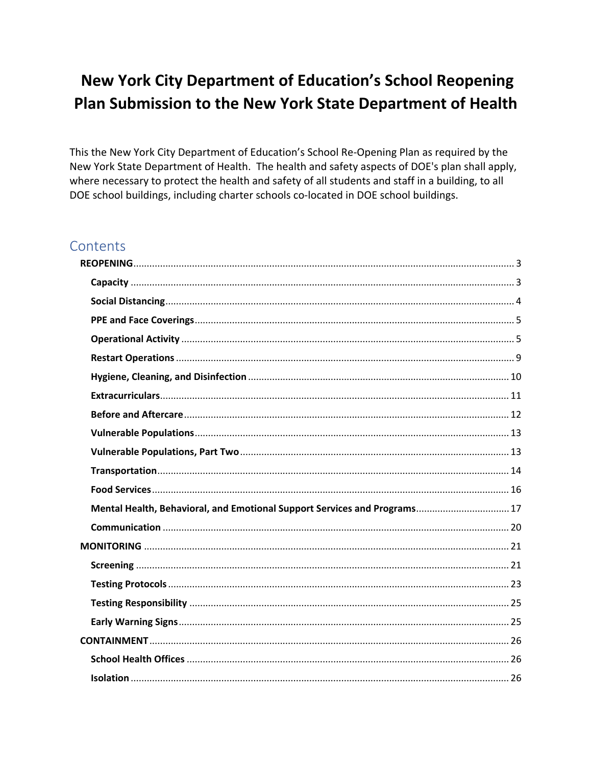# New York City Department of Education's School Reopening Plan Submission to the New York State Department of Health

This the New York City Department of Education's School Re-Opening Plan as required by the New York State Department of Health. The health and safety aspects of DOE's plan shall apply, where necessary to protect the health and safety of all students and staff in a building, to all DOE school buildings, including charter schools co-located in DOE school buildings.

## Contents

| Mental Health, Behavioral, and Emotional Support Services and Programs 17 |
|---------------------------------------------------------------------------|
|                                                                           |
|                                                                           |
|                                                                           |
|                                                                           |
|                                                                           |
|                                                                           |
|                                                                           |
|                                                                           |
|                                                                           |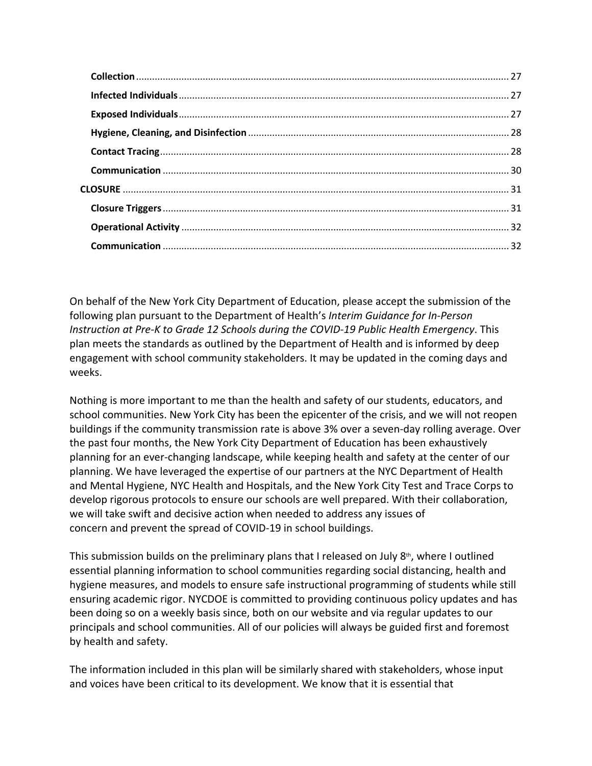On behalf of the New York City Department of Education, please accept the submission of the following plan pursuant to the Department of Health's *Interim Guidance for In-Person Instruction at Pre-K to Grade 12 Schools during the COVID-19 Public Health Emergency*. This plan meets the standards as outlined by the Department of Health and is informed by deep engagement with school community stakeholders. It may be updated in the coming days and weeks.

Nothing is more important to me than the health and safety of our students, educators, and school communities. New York City has been the epicenter of the crisis, and we will not reopen buildings if the community transmission rate is above 3% over a seven-day rolling average. Over the past four months, the New York City Department of Education has been exhaustively planning for an ever-changing landscape, while keeping health and safety at the center of our planning. We have leveraged the expertise of our partners at the NYC Department of Health and Mental Hygiene, NYC Health and Hospitals, and the New York City Test and Trace Corps to develop rigorous protocols to ensure our schools are well prepared. With their collaboration, we will take swift and decisive action when needed to address any issues of concern and prevent the spread of COVID-19 in school buildings.

This submission builds on the preliminary plans that I released on July  $8<sup>th</sup>$ , where I outlined essential planning information to school communities regarding social distancing, health and hygiene measures, and models to ensure safe instructional programming of students while still ensuring academic rigor. NYCDOE is committed to providing continuous policy updates and has been doing so on a weekly basis since, both on our website and via regular updates to our principals and school communities. All of our policies will always be guided first and foremost by health and safety.

The information included in this plan will be similarly shared with stakeholders, whose input and voices have been critical to its development. We know that it is essential that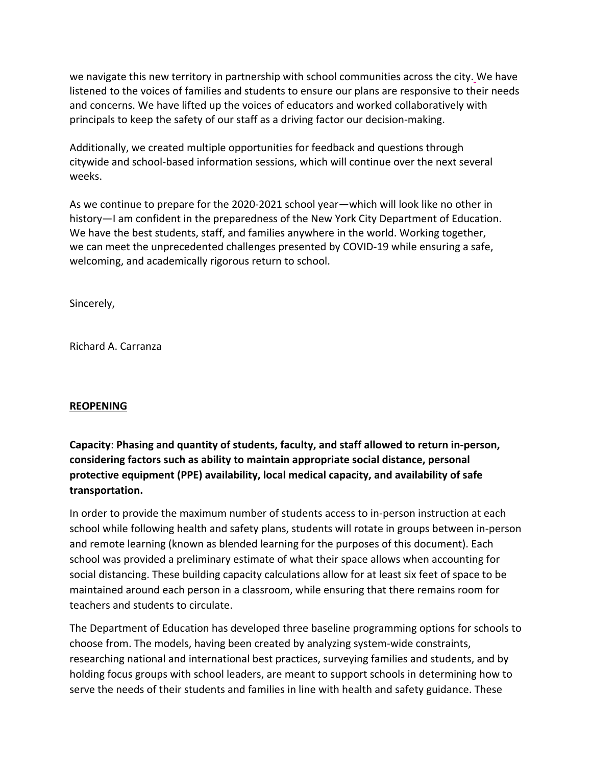we navigate this new territory in partnership with school communities across the city. We have listened to the voices of families and students to ensure our plans are responsive to their needs and concerns. We have lifted up the voices of educators and worked collaboratively with principals to keep the safety of our staff as a driving factor our decision-making.

Additionally, we created multiple opportunities for feedback and questions through citywide and school-based information sessions, which will continue over the next several weeks.

As we continue to prepare for the 2020-2021 school year—which will look like no other in history—I am confident in the preparedness of the New York City Department of Education. We have the best students, staff, and families anywhere in the world. Working together, we can meet the unprecedented challenges presented by COVID-19 while ensuring a safe, welcoming, and academically rigorous return to school.

Sincerely,

Richard A. Carranza

#### <span id="page-2-0"></span>**REOPENING**

<span id="page-2-1"></span>**Capacity**: **Phasing and quantity of students, faculty, and staff allowed to return in-person, considering factors such as ability to maintain appropriate social distance, personal protective equipment (PPE) availability, local medical capacity, and availability of safe transportation.**

In order to provide the maximum number of students access to in-person instruction at each school while following health and safety plans, students will rotate in groups between in-person and remote learning (known as blended learning for the purposes of this document). Each school was provided a preliminary estimate of what their space allows when accounting for social distancing. These building capacity calculations allow for at least six feet of space to be maintained around each person in a classroom, while ensuring that there remains room for teachers and students to circulate.

The Department of Education has developed three baseline programming options for schools to choose from. The models, having been created by analyzing system-wide constraints, researching national and international best practices, surveying families and students, and by holding focus groups with school leaders, are meant to support schools in determining how to serve the needs of their students and families in line with health and safety guidance. These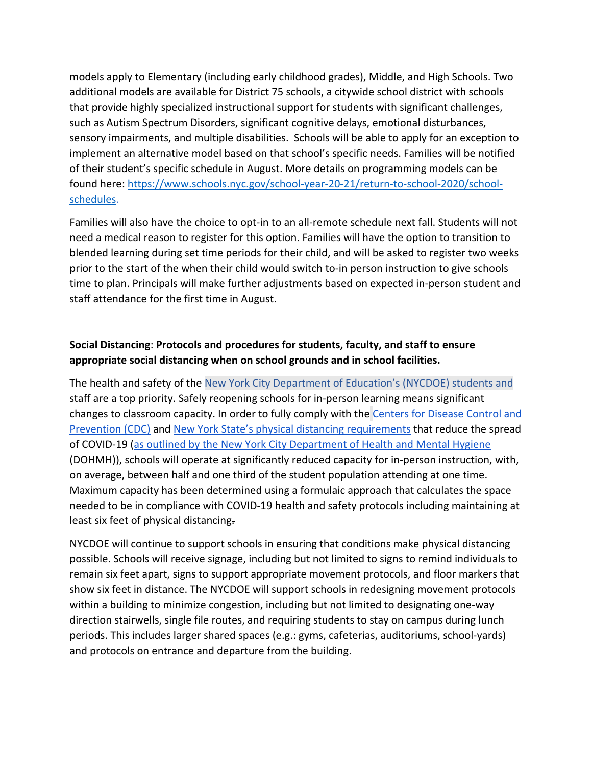models apply to Elementary (including early childhood grades), Middle, and High Schools. Two additional models are available for District 75 schools, a citywide school district with schools that provide highly specialized instructional support for students with significant challenges, such as Autism Spectrum Disorders, significant cognitive delays, emotional disturbances, sensory impairments, and multiple disabilities. Schools will be able to apply for an exception to implement an alternative model based on that school's specific needs. Families will be notified of their student's specific schedule in August. More details on programming models can be found here: [https://www.schools.nyc.gov/school-year-20-21/return-to-school-2020/school](https://www.schools.nyc.gov/school-year-20-21/return-to-school-2020/school-schedules)[schedules.](https://www.schools.nyc.gov/school-year-20-21/return-to-school-2020/school-schedules)

Families will also have the choice to opt-in to an all-remote schedule next fall. Students will not need a medical reason to register for this option. Families will have the option to transition to blended learning during set time periods for their child, and will be asked to register two weeks prior to the start of the when their child would switch to-in person instruction to give schools time to plan. Principals will make further adjustments based on expected in-person student and staff attendance for the first time in August.

## <span id="page-3-0"></span>**Social Distancing**: **Protocols and procedures for students, faculty, and staff to ensure appropriate social distancing when on school grounds and in school facilities.**

The health and safety of the New York City Department of Education's (NYCDOE) students and staff are a top priority. Safely reopening schools for in-person learning means significant changes to classroom capacity. In order to fully comply with the [Centers for Disease Control and](https://www.cdc.gov/coronavirus/2019-ncov/prevent-getting-sick/social-distancing.html)  [Prevention \(CDC\)](https://www.cdc.gov/coronavirus/2019-ncov/prevent-getting-sick/social-distancing.html) and [New York State's physical distancing requirements](https://nam01.safelinks.protection.outlook.com/?url=https%3A%2F%2Fwww.governor.ny.gov%2Fsites%2Fgovernor.ny.gov%2Ffiles%2Fatoms%2Ffiles%2FPre-K_to_Grade_12_Schools_MasterGuidence.pdf&data=02%7C01%7CFPuelloPerdomo%40schools.nyc.gov%7C6e6dbb0fb93c457a374008d833ec6c48%7C18492cb7ef45456185710c42e5f7ac07%7C0%7C0%7C637316437804484368&sdata=3ITEfaogxSnMkvQrG0PyKujD6c2r0tJMt20AlFjwAxg%3D&reserved=0) that reduce the spread of COVID-19 [\(as outlined by the New York City Department of Health and Mental Hygiene](https://www1.nyc.gov/site/doh/covid/covid-19-main.page) (DOHMH)), schools will operate at significantly reduced capacity for in-person instruction, with, on average, between half and one third of the student population attending at one time. Maximum capacity has been determined using a formulaic approach that calculates the space needed to be in compliance with COVID-19 health and safety protocols including maintaining at least six feet of physical distancing.

NYCDOE will continue to support schools in ensuring that conditions make physical distancing possible. Schools will receive signage, including but not limited to signs to remind individuals to remain six feet apart, signs to support appropriate movement protocols, and floor markers that show six feet in distance. The NYCDOE will support schools in redesigning movement protocols within a building to minimize congestion, including but not limited to designating one-way direction stairwells, single file routes, and requiring students to stay on campus during lunch periods. This includes larger shared spaces (e.g.: gyms, cafeterias, auditoriums, school-yards) and protocols on entrance and departure from the building.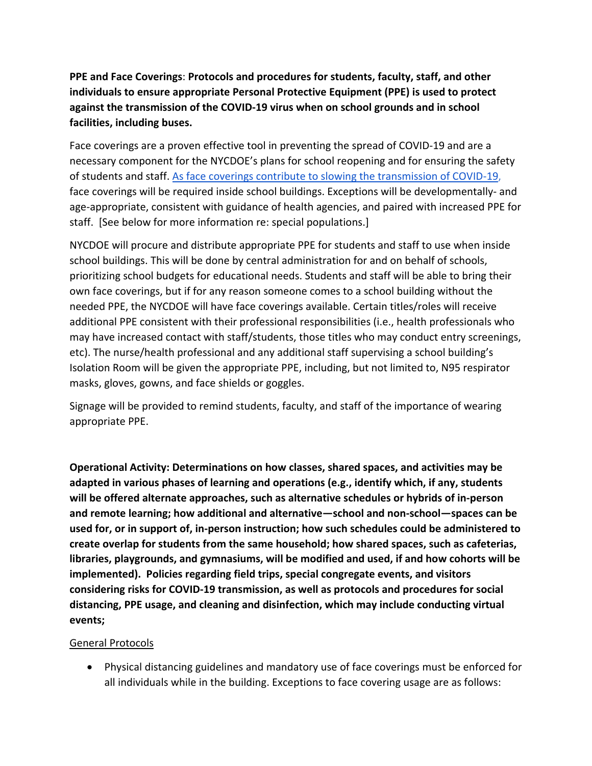<span id="page-4-0"></span>**PPE and Face Coverings**: **Protocols and procedures for students, faculty, staff, and other individuals to ensure appropriate Personal Protective Equipment (PPE) is used to protect against the transmission of the COVID-19 virus when on school grounds and in school facilities, including buses.** 

Face coverings are a proven effective tool in preventing the spread of COVID-19 and are a necessary component for the NYCDOE's plans for school reopening and for ensuring the safety of students and staff. [As face coverings contribute to slowing the transmission of COVID-19,](https://www.cdc.gov/coronavirus/2019-ncov/prevent-getting-sick/diy-cloth-face-coverings.html) face coverings will be required inside school buildings. Exceptions will be developmentally- and age-appropriate, consistent with guidance of health agencies, and paired with increased PPE for staff. [See below for more information re: special populations.]

NYCDOE will procure and distribute appropriate PPE for students and staff to use when inside school buildings. This will be done by central administration for and on behalf of schools, prioritizing school budgets for educational needs. Students and staff will be able to bring their own face coverings, but if for any reason someone comes to a school building without the needed PPE, the NYCDOE will have face coverings available. Certain titles/roles will receive additional PPE consistent with their professional responsibilities (i.e., health professionals who may have increased contact with staff/students, those titles who may conduct entry screenings, etc). The nurse/health professional and any additional staff supervising a school building's Isolation Room will be given the appropriate PPE, including, but not limited to, N95 respirator masks, gloves, gowns, and face shields or goggles.

Signage will be provided to remind students, faculty, and staff of the importance of wearing appropriate PPE.

<span id="page-4-1"></span>**Operational Activity: Determinations on how classes, shared spaces, and activities may be adapted in various phases of learning and operations (e.g., identify which, if any, students will be offered alternate approaches, such as alternative schedules or hybrids of in-person and remote learning; how additional and alternative—school and non-school—spaces can be used for, or in support of, in-person instruction; how such schedules could be administered to create overlap for students from the same household; how shared spaces, such as cafeterias, libraries, playgrounds, and gymnasiums, will be modified and used, if and how cohorts will be implemented). Policies regarding field trips, special congregate events, and visitors considering risks for COVID-19 transmission, as well as protocols and procedures for social distancing, PPE usage, and cleaning and disinfection, which may include conducting virtual events;**

#### General Protocols

• Physical distancing guidelines and mandatory use of face coverings must be enforced for all individuals while in the building. Exceptions to face covering usage are as follows: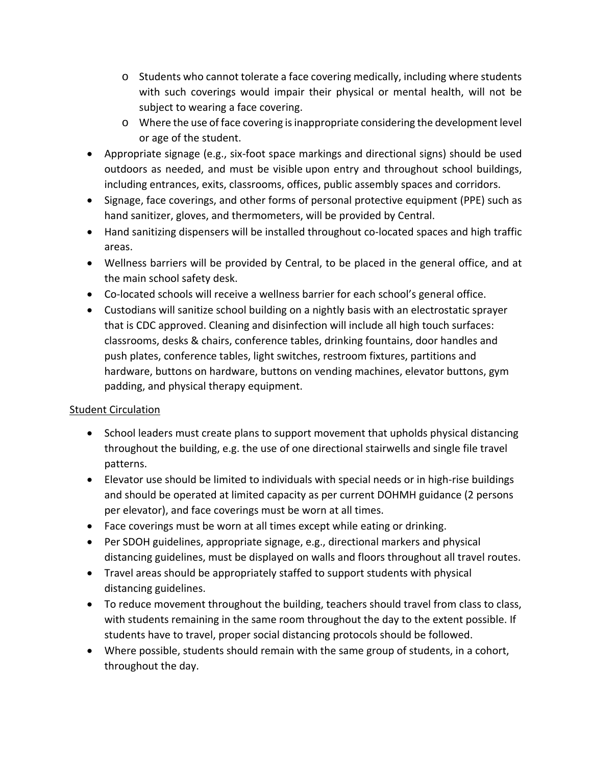- $\circ$  Students who cannot tolerate a face covering medically, including where students with such coverings would impair their physical or mental health, will not be subject to wearing a face covering.
- o Where the use of face covering is inappropriate considering the development level or age of the student.
- Appropriate signage (e.g., six-foot space markings and directional signs) should be used outdoors as needed, and must be visible upon entry and throughout school buildings, including entrances, exits, classrooms, offices, public assembly spaces and corridors.
- Signage, face coverings, and other forms of personal protective equipment (PPE) such as hand sanitizer, gloves, and thermometers, will be provided by Central.
- Hand sanitizing dispensers will be installed throughout co-located spaces and high traffic areas.
- Wellness barriers will be provided by Central, to be placed in the general office, and at the main school safety desk.
- Co-located schools will receive a wellness barrier for each school's general office.
- Custodians will sanitize school building on a nightly basis with an electrostatic sprayer that is CDC approved. Cleaning and disinfection will include all high touch surfaces: classrooms, desks & chairs, conference tables, drinking fountains, door handles and push plates, conference tables, light switches, restroom fixtures, partitions and hardware, buttons on hardware, buttons on vending machines, elevator buttons, gym padding, and physical therapy equipment.

## **Student Circulation**

- School leaders must create plans to support movement that upholds physical distancing throughout the building, e.g. the use of one directional stairwells and single file travel patterns.
- Elevator use should be limited to individuals with special needs or in high-rise buildings and should be operated at limited capacity as per current DOHMH guidance (2 persons per elevator), and face coverings must be worn at all times.
- Face coverings must be worn at all times except while eating or drinking.
- Per SDOH guidelines, appropriate signage, e.g., directional markers and physical distancing guidelines, must be displayed on walls and floors throughout all travel routes.
- Travel areas should be appropriately staffed to support students with physical distancing guidelines.
- To reduce movement throughout the building, teachers should travel from class to class, with students remaining in the same room throughout the day to the extent possible. If students have to travel, proper social distancing protocols should be followed.
- Where possible, students should remain with the same group of students, in a cohort, throughout the day.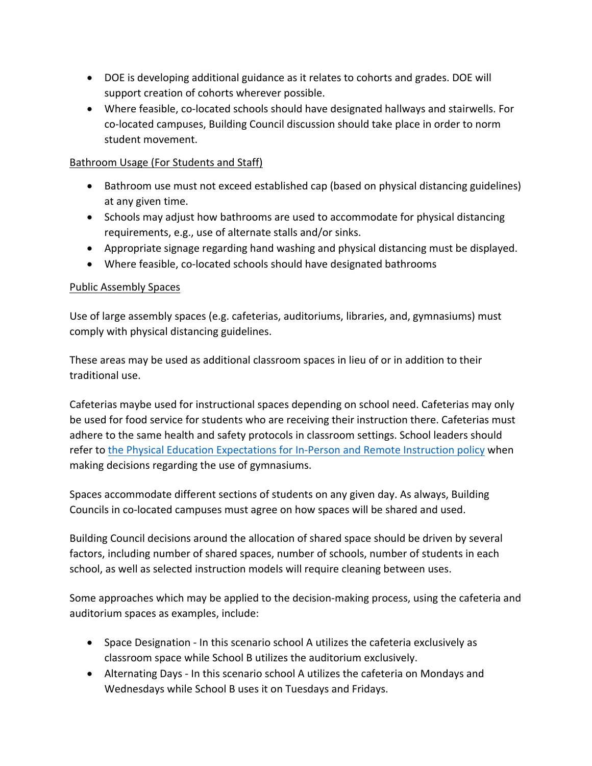- DOE is developing additional guidance as it relates to cohorts and grades. DOE will support creation of cohorts wherever possible.
- Where feasible, co-located schools should have designated hallways and stairwells. For co-located campuses, Building Council discussion should take place in order to norm student movement.

#### Bathroom Usage (For Students and Staff)

- Bathroom use must not exceed established cap (based on physical distancing guidelines) at any given time.
- Schools may adjust how bathrooms are used to accommodate for physical distancing requirements, e.g., use of alternate stalls and/or sinks.
- Appropriate signage regarding hand washing and physical distancing must be displayed.
- Where feasible, co-located schools should have designated bathrooms

## Public Assembly Spaces

Use of large assembly spaces (e.g. cafeterias, auditoriums, libraries, and, gymnasiums) must comply with physical distancing guidelines.

These areas may be used as additional classroom spaces in lieu of or in addition to their traditional use.

Cafeterias maybe used for instructional spaces depending on school need. Cafeterias may only be used for food service for students who are receiving their instruction there. Cafeterias must adhere to the same health and safety protocols in classroom settings. School leaders should refer to [the Physical Education Expectations for In-Person and Remote Instruction policy](https://infohub.nyced.org/school-year-2020-21/return-to-school-2020/equity-and-excellence-our-continued-commitment/physical-education-expectations-for-in-person-and-remote-instruction) when making decisions regarding the use of gymnasiums.

Spaces accommodate different sections of students on any given day. As always, Building Councils in co-located campuses must agree on how spaces will be shared and used.

Building Council decisions around the allocation of shared space should be driven by several factors, including number of shared spaces, number of schools, number of students in each school, as well as selected instruction models will require cleaning between uses.

Some approaches which may be applied to the decision-making process, using the cafeteria and auditorium spaces as examples, include:

- Space Designation In this scenario school A utilizes the cafeteria exclusively as classroom space while School B utilizes the auditorium exclusively.
- Alternating Days In this scenario school A utilizes the cafeteria on Mondays and Wednesdays while School B uses it on Tuesdays and Fridays.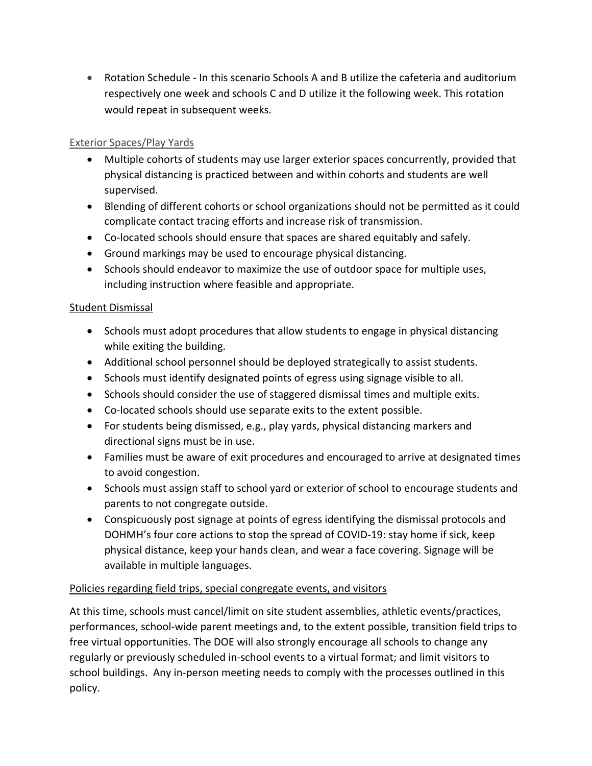• Rotation Schedule - In this scenario Schools A and B utilize the cafeteria and auditorium respectively one week and schools C and D utilize it the following week. This rotation would repeat in subsequent weeks.

## Exterior Spaces/Play Yards

- Multiple cohorts of students may use larger exterior spaces concurrently, provided that physical distancing is practiced between and within cohorts and students are well supervised.
- Blending of different cohorts or school organizations should not be permitted as it could complicate contact tracing efforts and increase risk of transmission.
- Co-located schools should ensure that spaces are shared equitably and safely.
- Ground markings may be used to encourage physical distancing.
- Schools should endeavor to maximize the use of outdoor space for multiple uses, including instruction where feasible and appropriate.

#### Student Dismissal

- Schools must adopt procedures that allow students to engage in physical distancing while exiting the building.
- Additional school personnel should be deployed strategically to assist students.
- Schools must identify designated points of egress using signage visible to all.
- Schools should consider the use of staggered dismissal times and multiple exits.
- Co-located schools should use separate exits to the extent possible.
- For students being dismissed, e.g., play yards, physical distancing markers and directional signs must be in use.
- Families must be aware of exit procedures and encouraged to arrive at designated times to avoid congestion.
- Schools must assign staff to school yard or exterior of school to encourage students and parents to not congregate outside.
- Conspicuously post signage at points of egress identifying the dismissal protocols and DOHMH's four core actions to stop the spread of COVID-19: stay home if sick, keep physical distance, keep your hands clean, and wear a face covering. Signage will be available in multiple languages.

#### Policies regarding field trips, special congregate events, and visitors

At this time, schools must cancel/limit on site student assemblies, athletic events/practices, performances, school-wide parent meetings and, to the extent possible, transition field trips to free virtual opportunities. The DOE will also strongly encourage all schools to change any regularly or previously scheduled in-school events to a virtual format; and limit visitors to school buildings. Any in-person meeting needs to comply with the processes outlined in this policy.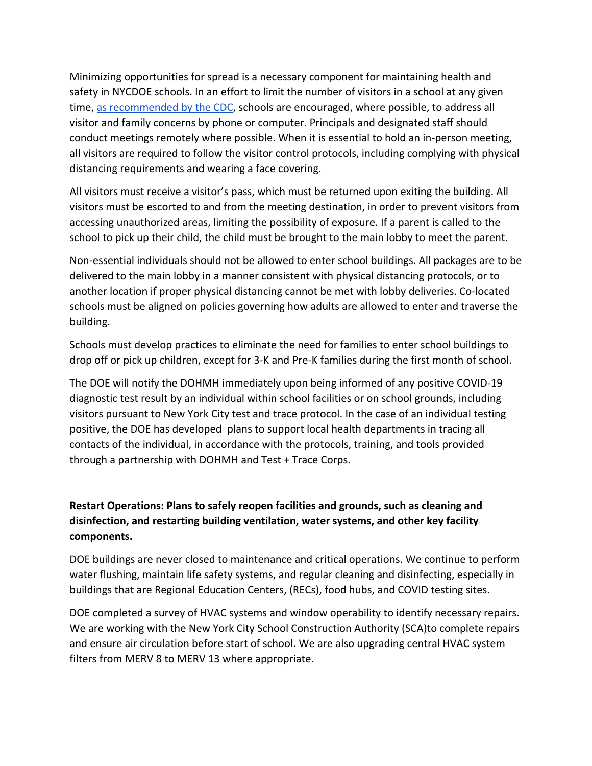Minimizing opportunities for spread is a necessary component for maintaining health and safety in NYCDOE schools. In an effort to limit the number of visitors in a school at any given time, [as recommended by](https://www.cdc.gov/coronavirus/2019-ncov/community/schools-childcare/guidance-for-schools.html) the CDC, schools are encouraged, where possible, to address all visitor and family concerns by phone or computer. Principals and designated staff should conduct meetings remotely where possible. When it is essential to hold an in-person meeting, all visitors are required to follow the visitor control protocols, including complying with physical distancing requirements and wearing a face covering.

All visitors must receive a visitor's pass, which must be returned upon exiting the building. All visitors must be escorted to and from the meeting destination, in order to prevent visitors from accessing unauthorized areas, limiting the possibility of exposure. If a parent is called to the school to pick up their child, the child must be brought to the main lobby to meet the parent.

Non-essential individuals should not be allowed to enter school buildings. All packages are to be delivered to the main lobby in a manner consistent with physical distancing protocols, or to another location if proper physical distancing cannot be met with lobby deliveries. Co-located schools must be aligned on policies governing how adults are allowed to enter and traverse the building.

Schools must develop practices to eliminate the need for families to enter school buildings to drop off or pick up children, except for 3-K and Pre-K families during the first month of school.

The DOE will notify the DOHMH immediately upon being informed of any positive COVID-19 diagnostic test result by an individual within school facilities or on school grounds, including visitors pursuant to New York City test and trace protocol. In the case of an individual testing positive, the DOE has developed plans to support local health departments in tracing all contacts of the individual, in accordance with the protocols, training, and tools provided through a partnership with DOHMH and Test + Trace Corps.

## <span id="page-8-0"></span>**Restart Operations: Plans to safely reopen facilities and grounds, such as cleaning and disinfection, and restarting building ventilation, water systems, and other key facility components.**

DOE buildings are never closed to maintenance and critical operations. We continue to perform water flushing, maintain life safety systems, and regular cleaning and disinfecting, especially in buildings that are Regional Education Centers, (RECs), food hubs, and COVID testing sites.

DOE completed a survey of HVAC systems and window operability to identify necessary repairs. We are working with the New York City School Construction Authority (SCA)to complete repairs and ensure air circulation before start of school. We are also upgrading central HVAC system filters from MERV 8 to MERV 13 where appropriate.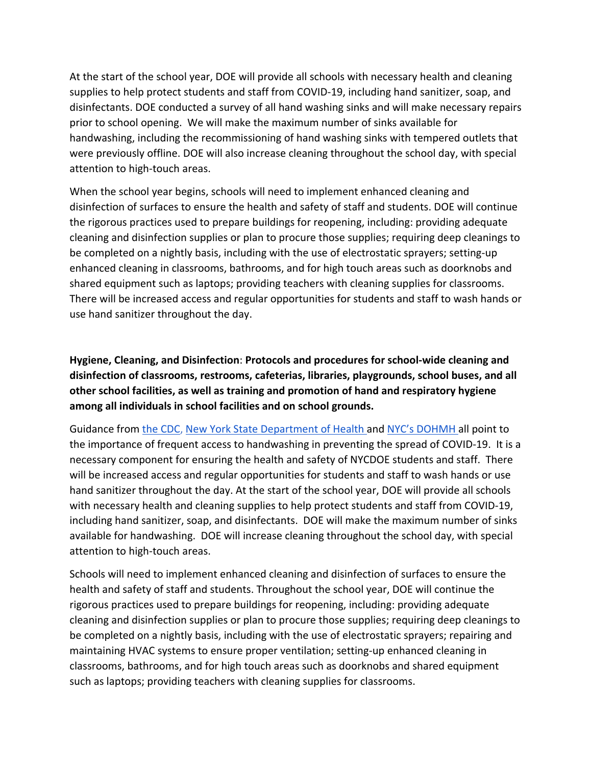At the start of the school year, DOE will provide all schools with necessary health and cleaning supplies to help protect students and staff from COVID-19, including hand sanitizer, soap, and disinfectants. DOE conducted a survey of all hand washing sinks and will make necessary repairs prior to school opening. We will make the maximum number of sinks available for handwashing, including the recommissioning of hand washing sinks with tempered outlets that were previously offline. DOE will also increase cleaning throughout the school day, with special attention to high-touch areas.

When the school year begins, schools will need to implement enhanced cleaning and disinfection of surfaces to ensure the health and safety of staff and students. DOE will continue the rigorous practices used to prepare buildings for reopening, including: providing adequate cleaning and disinfection supplies or plan to procure those supplies; requiring deep cleanings to be completed on a nightly basis, including with the use of electrostatic sprayers; setting-up enhanced cleaning in classrooms, bathrooms, and for high touch areas such as doorknobs and shared equipment such as laptops; providing teachers with cleaning supplies for classrooms. There will be increased access and regular opportunities for students and staff to wash hands or use hand sanitizer throughout the day.

<span id="page-9-0"></span>**Hygiene, Cleaning, and Disinfection**: **Protocols and procedures for school-wide cleaning and disinfection of classrooms, restrooms, cafeterias, libraries, playgrounds, school buses, and all other school facilities, as well as training and promotion of hand and respiratory hygiene among all individuals in school facilities and on school grounds.**

Guidance from [the CDC,](https://www.cdc.gov/handwashing/when-how-handwashing.html) [New York State Department of Health a](https://coronavirus.health.ny.gov/protect-yourself-and-your-family-coronavirus-covid-19)nd [NYC's DOHMH a](https://www1.nyc.gov/assets/doh/downloads/pdf/imm/coronavirus-factsheet.pdf)ll point to the importance of frequent access to handwashing in preventing the spread of COVID-19. It is a necessary component for ensuring the health and safety of NYCDOE students and staff. There will be increased access and regular opportunities for students and staff to wash hands or use hand sanitizer throughout the day. At the start of the school year, DOE will provide all schools with necessary health and cleaning supplies to help protect students and staff from COVID-19, including hand sanitizer, soap, and disinfectants. DOE will make the maximum number of sinks available for handwashing. DOE will increase cleaning throughout the school day, with special attention to high-touch areas.

Schools will need to implement enhanced cleaning and disinfection of surfaces to ensure the health and safety of staff and students. Throughout the school year, DOE will continue the rigorous practices used to prepare buildings for reopening, including: providing adequate cleaning and disinfection supplies or plan to procure those supplies; requiring deep cleanings to be completed on a nightly basis, including with the use of electrostatic sprayers; repairing and maintaining HVAC systems to ensure proper ventilation; setting-up enhanced cleaning in classrooms, bathrooms, and for high touch areas such as doorknobs and shared equipment such as laptops; providing teachers with cleaning supplies for classrooms.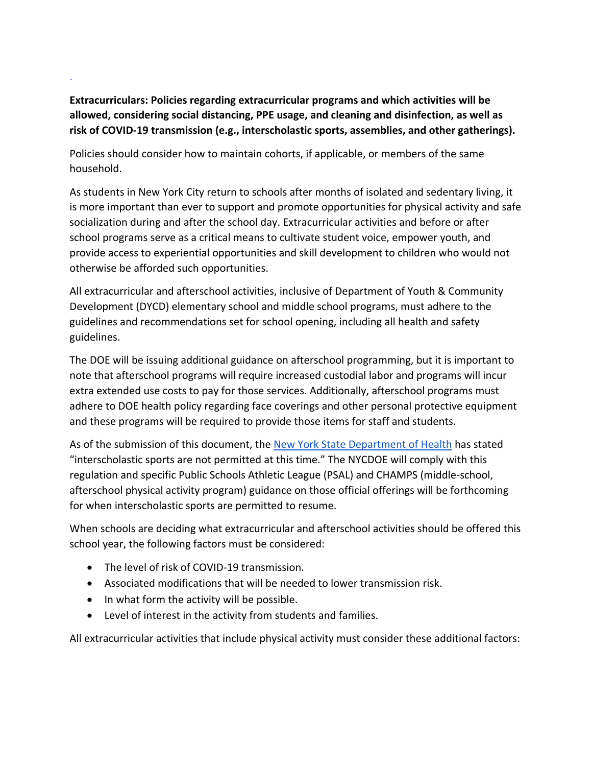<span id="page-10-0"></span>**Extracurriculars: Policies regarding extracurricular programs and which activities will be allowed, considering social distancing, PPE usage, and cleaning and disinfection, as well as risk of COVID-19 transmission (e.g., interscholastic sports, assemblies, and other gatherings).** 

Policies should consider how to maintain cohorts, if applicable, or members of the same household.

As students in New York City return to schools after months of isolated and sedentary living, it is more important than ever to support and promote opportunities for physical activity and safe socialization during and after the school day. Extracurricular activities and before or after school programs serve as a critical means to cultivate student voice, empower youth, and provide access to experiential opportunities and skill development to children who would not otherwise be afforded such opportunities.

All extracurricular and afterschool activities, inclusive of Department of Youth & Community Development (DYCD) elementary school and middle school programs, must adhere to the guidelines and recommendations set for school opening, including all health and safety guidelines.

The DOE will be issuing additional guidance on afterschool programming, but it is important to note that afterschool programs will require increased custodial labor and programs will incur extra extended use costs to pay for those services. Additionally, afterschool programs must adhere to DOE health policy regarding face coverings and other personal protective equipment and these programs will be required to provide those items for staff and students.

As of the submission of this document, the [New York State Department of Health](https://www.governor.ny.gov/sites/governor.ny.gov/files/atoms/files/Pre-K_to_Grade_12_Schools_MasterGuidence.pdf) has stated "interscholastic sports are not permitted at this time." The NYCDOE will comply with this regulation and specific Public Schools Athletic League (PSAL) and CHAMPS (middle-school, afterschool physical activity program) guidance on those official offerings will be forthcoming for when interscholastic sports are permitted to resume.

When schools are deciding what extracurricular and afterschool activities should be offered this school year, the following factors must be considered:

• The level of risk of COVID-19 transmission.

.

- Associated modifications that will be needed to lower transmission risk.
- In what form the activity will be possible.
- Level of interest in the activity from students and families.

All extracurricular activities that include physical activity must consider these additional factors: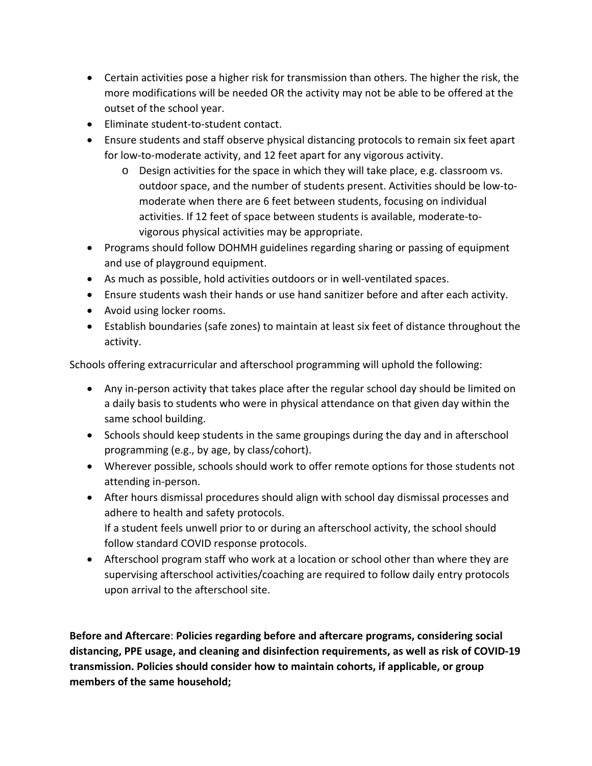- Certain activities pose a higher risk for transmission than others. The higher the risk, the more modifications will be needed OR the activity may not be able to be offered at the outset of the school year.
- Eliminate student-to-student contact.
- Ensure students and staff observe physical distancing protocols to remain six feet apart for low-to-moderate activity, and 12 feet apart for any vigorous activity.
	- o Design activities for the space in which they will take place, e.g. classroom vs. outdoor space, and the number of students present. Activities should be low-tomoderate when there are 6 feet between students, focusing on individual activities. If 12 feet of space between students is available, moderate-tovigorous physical activities may be appropriate.
- Programs should follow DOHMH guidelines regarding sharing or passing of equipment and use of playground equipment.
- As much as possible, hold activities outdoors or in well-ventilated spaces.
- Ensure students wash their hands or use hand sanitizer before and after each activity.
- Avoid using locker rooms.
- Establish boundaries (safe zones) to maintain at least six feet of distance throughout the activity.

Schools offering extracurricular and afterschool programming will uphold the following:

- Any in-person activity that takes place after the regular school day should be limited on a daily basis to students who were in physical attendance on that given day within the same school building.
- Schools should keep students in the same groupings during the day and in afterschool programming (e.g., by age, by class/cohort).
- Wherever possible, schools should work to offer remote options for those students not attending in-person.
- After hours dismissal procedures should align with school day dismissal processes and adhere to health and safety protocols. If a student feels unwell prior to or during an afterschool activity, the school should follow standard COVID response protocols.
- Afterschool program staff who work at a location or school other than where they are supervising afterschool activities/coaching are required to follow daily entry protocols upon arrival to the afterschool site.

<span id="page-11-0"></span>**Before and Aftercare**: **Policies regarding before and aftercare programs, considering social distancing, PPE usage, and cleaning and disinfection requirements, as well as risk of COVID-19 transmission. Policies should consider how to maintain cohorts, if applicable, or group members of the same household;**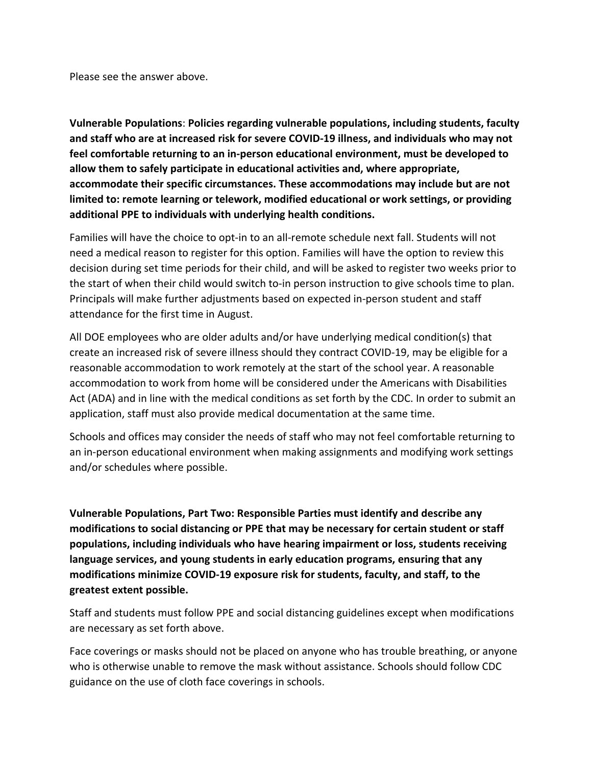Please see the answer above.

<span id="page-12-0"></span>**Vulnerable Populations**: **Policies regarding vulnerable populations, including students, faculty and staff who are at increased risk for severe COVID-19 illness, and individuals who may not feel comfortable returning to an in-person educational environment, must be developed to allow them to safely participate in educational activities and, where appropriate, accommodate their specific circumstances. These accommodations may include but are not limited to: remote learning or telework, modified educational or work settings, or providing additional PPE to individuals with underlying health conditions.**

Families will have the choice to opt-in to an all-remote schedule next fall. Students will not need a medical reason to register for this option. Families will have the option to review this decision during set time periods for their child, and will be asked to register two weeks prior to the start of when their child would switch to-in person instruction to give schools time to plan. Principals will make further adjustments based on expected in-person student and staff attendance for the first time in August.

All DOE employees who are older adults and/or have underlying medical condition(s) that create an increased risk of severe illness should they contract COVID-19, may be eligible for a reasonable accommodation to work remotely at the start of the school year. A reasonable accommodation to work from home will be considered under the Americans with Disabilities Act (ADA) and in line with the medical conditions as set forth by the CDC. In order to submit an application, staff must also provide medical documentation at the same time.

Schools and offices may consider the needs of staff who may not feel comfortable returning to an in-person educational environment when making assignments and modifying work settings and/or schedules where possible.

<span id="page-12-1"></span>**Vulnerable Populations, Part Two: Responsible Parties must identify and describe any modifications to social distancing or PPE that may be necessary for certain student or staff populations, including individuals who have hearing impairment or loss, students receiving language services, and young students in early education programs, ensuring that any modifications minimize COVID-19 exposure risk for students, faculty, and staff, to the greatest extent possible.**

Staff and students must follow PPE and social distancing guidelines except when modifications are necessary as set forth above.

Face coverings or masks should not be placed on anyone who has trouble breathing, or anyone who is otherwise unable to remove the mask without assistance. Schools should follow CDC guidance on the use of cloth face coverings in schools.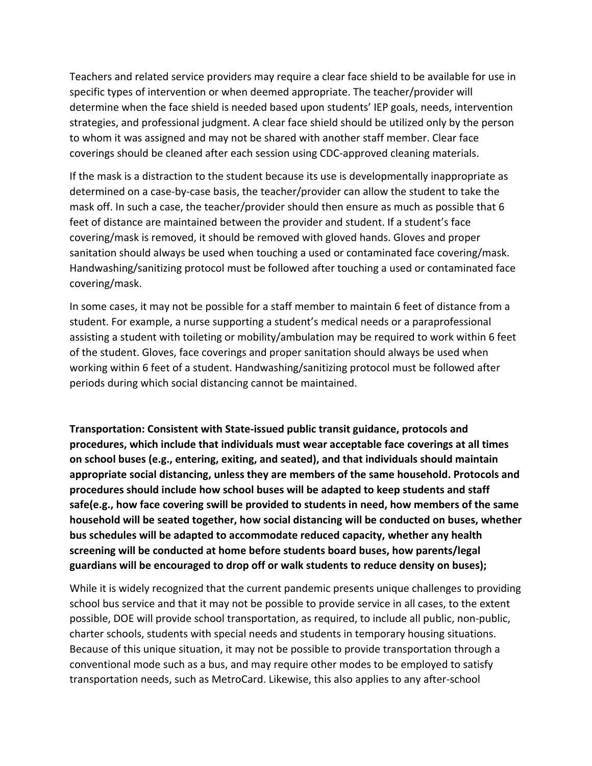Teachers and related service providers may require a clear face shield to be available for use in specific types of intervention or when deemed appropriate. The teacher/provider will determine when the face shield is needed based upon students' IEP goals, needs, intervention strategies, and professional judgment. A clear face shield should be utilized only by the person to whom it was assigned and may not be shared with another staff member. Clear face coverings should be cleaned after each session using CDC-approved cleaning materials.

If the mask is a distraction to the student because its use is developmentally inappropriate as determined on a case-by-case basis, the teacher/provider can allow the student to take the mask off. In such a case, the teacher/provider should then ensure as much as possible that 6 feet of distance are maintained between the provider and student. If a student's face covering/mask is removed, it should be removed with gloved hands. Gloves and proper sanitation should always be used when touching a used or contaminated face covering/mask. Handwashing/sanitizing protocol must be followed after touching a used or contaminated face covering/mask.

In some cases, it may not be possible for a staff member to maintain 6 feet of distance from a student. For example, a nurse supporting a student's medical needs or a paraprofessional assisting a student with toileting or mobility/ambulation may be required to work within 6 feet of the student. Gloves, face coverings and proper sanitation should always be used when working within 6 feet of a student. Handwashing/sanitizing protocol must be followed after periods during which social distancing cannot be maintained.

<span id="page-13-0"></span>**Transportation: Consistent with State-issued public transit guidance, protocols and procedures, which include that individuals must wear acceptable face coverings at all times on school buses (e.g., entering, exiting, and seated), and that individuals should maintain appropriate social distancing, unless they are members of the same household. Protocols and procedures should include how school buses will be adapted to keep students and staff safe(e.g., how face covering swill be provided to students in need, how members of the same household will be seated together, how social distancing will be conducted on buses, whether bus schedules will be adapted to accommodate reduced capacity, whether any health screening will be conducted at home before students board buses, how parents/legal guardians will be encouraged to drop off or walk students to reduce density on buses);**

While it is widely recognized that the current pandemic presents unique challenges to providing school bus service and that it may not be possible to provide service in all cases, to the extent possible, DOE will provide school transportation, as required, to include all public, non-public, charter schools, students with special needs and students in temporary housing situations. Because of this unique situation, it may not be possible to provide transportation through a conventional mode such as a bus, and may require other modes to be employed to satisfy transportation needs, such as MetroCard. Likewise, this also applies to any after-school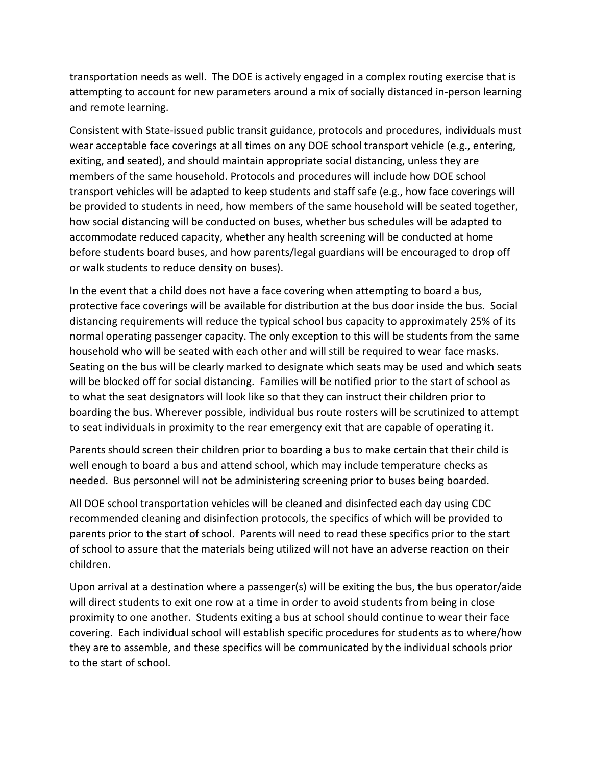transportation needs as well. The DOE is actively engaged in a complex routing exercise that is attempting to account for new parameters around a mix of socially distanced in-person learning and remote learning.

Consistent with State-issued public transit guidance, protocols and procedures, individuals must wear acceptable face coverings at all times on any DOE school transport vehicle (e.g., entering, exiting, and seated), and should maintain appropriate social distancing, unless they are members of the same household. Protocols and procedures will include how DOE school transport vehicles will be adapted to keep students and staff safe (e.g., how face coverings will be provided to students in need, how members of the same household will be seated together, how social distancing will be conducted on buses, whether bus schedules will be adapted to accommodate reduced capacity, whether any health screening will be conducted at home before students board buses, and how parents/legal guardians will be encouraged to drop off or walk students to reduce density on buses).

In the event that a child does not have a face covering when attempting to board a bus, protective face coverings will be available for distribution at the bus door inside the bus. Social distancing requirements will reduce the typical school bus capacity to approximately 25% of its normal operating passenger capacity. The only exception to this will be students from the same household who will be seated with each other and will still be required to wear face masks. Seating on the bus will be clearly marked to designate which seats may be used and which seats will be blocked off for social distancing. Families will be notified prior to the start of school as to what the seat designators will look like so that they can instruct their children prior to boarding the bus. Wherever possible, individual bus route rosters will be scrutinized to attempt to seat individuals in proximity to the rear emergency exit that are capable of operating it.

Parents should screen their children prior to boarding a bus to make certain that their child is well enough to board a bus and attend school, which may include temperature checks as needed. Bus personnel will not be administering screening prior to buses being boarded.

All DOE school transportation vehicles will be cleaned and disinfected each day using CDC recommended cleaning and disinfection protocols, the specifics of which will be provided to parents prior to the start of school. Parents will need to read these specifics prior to the start of school to assure that the materials being utilized will not have an adverse reaction on their children.

Upon arrival at a destination where a passenger(s) will be exiting the bus, the bus operator/aide will direct students to exit one row at a time in order to avoid students from being in close proximity to one another. Students exiting a bus at school should continue to wear their face covering. Each individual school will establish specific procedures for students as to where/how they are to assemble, and these specifics will be communicated by the individual schools prior to the start of school.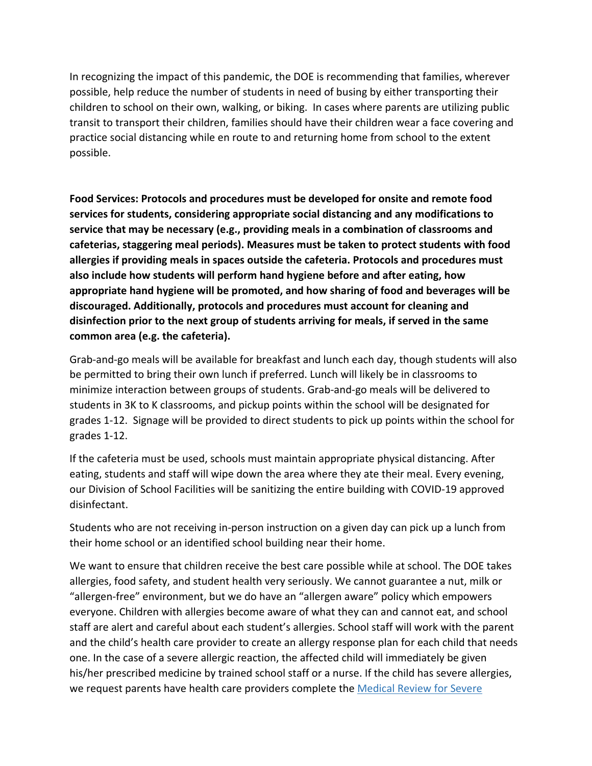In recognizing the impact of this pandemic, the DOE is recommending that families, wherever possible, help reduce the number of students in need of busing by either transporting their children to school on their own, walking, or biking. In cases where parents are utilizing public transit to transport their children, families should have their children wear a face covering and practice social distancing while en route to and returning home from school to the extent possible.

<span id="page-15-0"></span>**Food Services: Protocols and procedures must be developed for onsite and remote food services for students, considering appropriate social distancing and any modifications to service that may be necessary (e.g., providing meals in a combination of classrooms and cafeterias, staggering meal periods). Measures must be taken to protect students with food allergies if providing meals in spaces outside the cafeteria. Protocols and procedures must also include how students will perform hand hygiene before and after eating, how appropriate hand hygiene will be promoted, and how sharing of food and beverages will be discouraged. Additionally, protocols and procedures must account for cleaning and disinfection prior to the next group of students arriving for meals, if served in the same common area (e.g. the cafeteria).**

Grab-and-go meals will be available for breakfast and lunch each day, though students will also be permitted to bring their own lunch if preferred. Lunch will likely be in classrooms to minimize interaction between groups of students. Grab-and-go meals will be delivered to students in 3K to K classrooms, and pickup points within the school will be designated for grades 1-12. Signage will be provided to direct students to pick up points within the school for grades 1-12.

If the cafeteria must be used, schools must maintain appropriate physical distancing. After eating, students and staff will wipe down the area where they ate their meal. Every evening, our Division of School Facilities will be sanitizing the entire building with COVID-19 approved disinfectant.

Students who are not receiving in-person instruction on a given day can pick up a lunch from their home school or an identified school building near their home.

We want to ensure that children receive the best care possible while at school. The DOE takes allergies, food safety, and student health very seriously. We cannot guarantee a nut, milk or "allergen-free" environment, but we do have an "allergen aware" policy which empowers everyone. Children with allergies become aware of what they can and cannot eat, and school staff are alert and careful about each student's allergies. School staff will work with the parent and the child's health care provider to create an allergy response plan for each child that needs one. In the case of a severe allergic reaction, the affected child will immediately be given his/her prescribed medicine by trained school staff or a nurse. If the child has severe allergies, we request parents have health care providers complete the Medical Review for Severe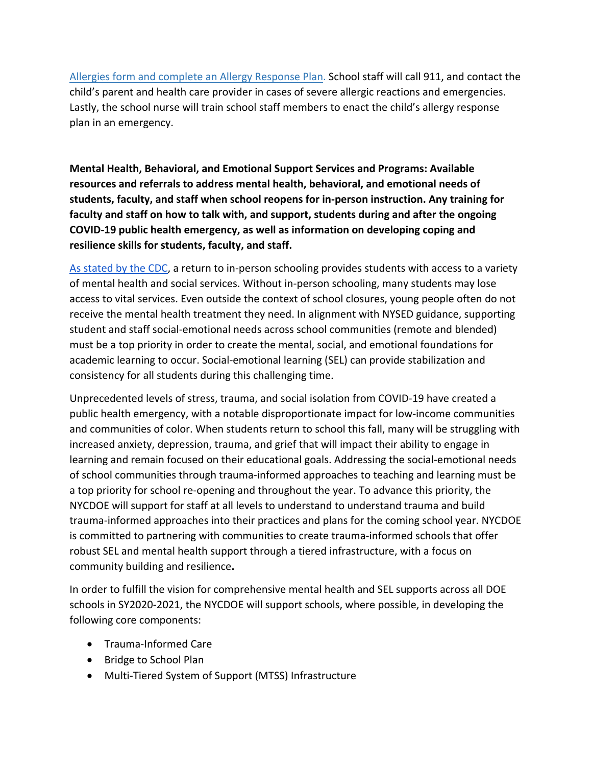[Allergies](https://www.schools.nyc.gov/docs/default-source/default-document-library/medical_review_of_student_with_severe_allergies) form and complete an [Allergy Response Plan.](https://www.schools.nyc.gov/docs/default-source/default-document-library/allergy_response_plan_august_2018) School staff will call 911, and contact the child's parent and health care provider in cases of severe allergic reactions and emergencies. Lastly, the school nurse will train school staff members to enact the child's allergy response plan in an emergency.

<span id="page-16-0"></span>**Mental Health, Behavioral, and Emotional Support Services and Programs: Available resources and referrals to address mental health, behavioral, and emotional needs of students, faculty, and staff when school reopens for in-person instruction. Any training for faculty and staff on how to talk with, and support, students during and after the ongoing COVID-19 public health emergency, as well as information on developing coping and resilience skills for students, faculty, and staff.**

[As stated by the CDC,](https://www.cdc.gov/coronavirus/2019-ncov/community/schools-childcare/reopening-schools.html) a return to in-person schooling provides students with access to a variety of mental health and social services. Without in-person schooling, many students may lose access to vital services. Even outside the context of school closures, young people often do not receive the mental health treatment they need. In alignment with NYSED guidance, supporting student and staff social-emotional needs across school communities (remote and blended) must be a top priority in order to create the mental, social, and emotional foundations for academic learning to occur. Social-emotional learning (SEL) can provide stabilization and consistency for all students during this challenging time.

Unprecedented levels of stress, trauma, and social isolation from COVID-19 have created a public health emergency, with a notable disproportionate impact for low-income communities and communities of color. When students return to school this fall, many will be struggling with increased anxiety, depression, trauma, and grief that will impact their ability to engage in learning and remain focused on their educational goals. Addressing the social-emotional needs of school communities through trauma-informed approaches to teaching and learning must be a top priority for school re-opening and throughout the year. To advance this priority, the NYCDOE will support for staff at all levels to understand to understand trauma and build trauma-informed approaches into their practices and plans for the coming school year. NYCDOE is committed to partnering with communities to create trauma-informed schools that offer robust SEL and mental health support through a tiered infrastructure, with a focus on community building and resilience**.**

In order to fulfill the vision for comprehensive mental health and SEL supports across all DOE schools in SY2020-2021, the NYCDOE will support schools, where possible, in developing the following core components:

- Trauma-Informed Care
- Bridge to School Plan
- Multi-Tiered System of Support (MTSS) Infrastructure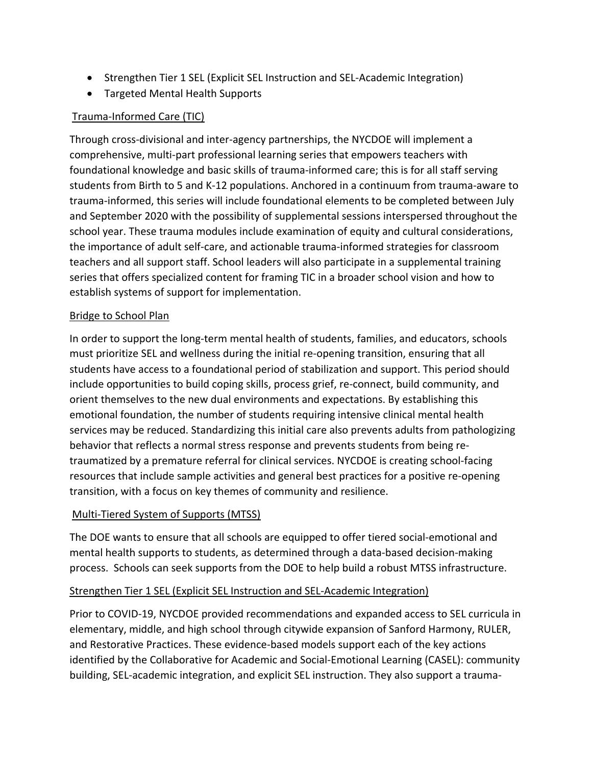- Strengthen Tier 1 SEL (Explicit SEL Instruction and SEL-Academic Integration)
- Targeted Mental Health Supports

## Trauma-Informed Care (TIC)

Through cross-divisional and inter-agency partnerships, the NYCDOE will implement a comprehensive, multi-part professional learning series that empowers teachers with foundational knowledge and basic skills of trauma-informed care; this is for all staff serving students from Birth to 5 and K-12 populations. Anchored in a continuum from trauma-aware to trauma-informed, this series will include foundational elements to be completed between July and September 2020 with the possibility of supplemental sessions interspersed throughout the school year. These trauma modules include examination of equity and cultural considerations, the importance of adult self-care, and actionable trauma-informed strategies for classroom teachers and all support staff. School leaders will also participate in a supplemental training series that offers specialized content for framing TIC in a broader school vision and how to establish systems of support for implementation.

#### Bridge to School Plan

In order to support the long-term mental health of students, families, and educators, schools must prioritize SEL and wellness during the initial re-opening transition, ensuring that all students have access to a foundational period of stabilization and support. This period should include opportunities to build coping skills, process grief, re-connect, build community, and orient themselves to the new dual environments and expectations. By establishing this emotional foundation, the number of students requiring intensive clinical mental health services may be reduced. Standardizing this initial care also prevents adults from pathologizing behavior that reflects a normal stress response and prevents students from being retraumatized by a premature referral for clinical services. NYCDOE is creating school-facing resources that include sample activities and general best practices for a positive re-opening transition, with a focus on key themes of community and resilience.

#### Multi-Tiered System of Supports (MTSS)

The DOE wants to ensure that all schools are equipped to offer tiered social-emotional and mental health supports to students, as determined through a data-based decision-making process. Schools can seek supports from the DOE to help build a robust MTSS infrastructure.

#### Strengthen Tier 1 SEL (Explicit SEL Instruction and SEL-Academic Integration)

Prior to COVID-19, NYCDOE provided recommendations and expanded access to SEL curricula in elementary, middle, and high school through citywide expansion of Sanford Harmony, RULER, and Restorative Practices. These evidence-based models support each of the key actions identified by the Collaborative for Academic and Social-Emotional Learning (CASEL): community building, SEL-academic integration, and explicit SEL instruction. They also support a trauma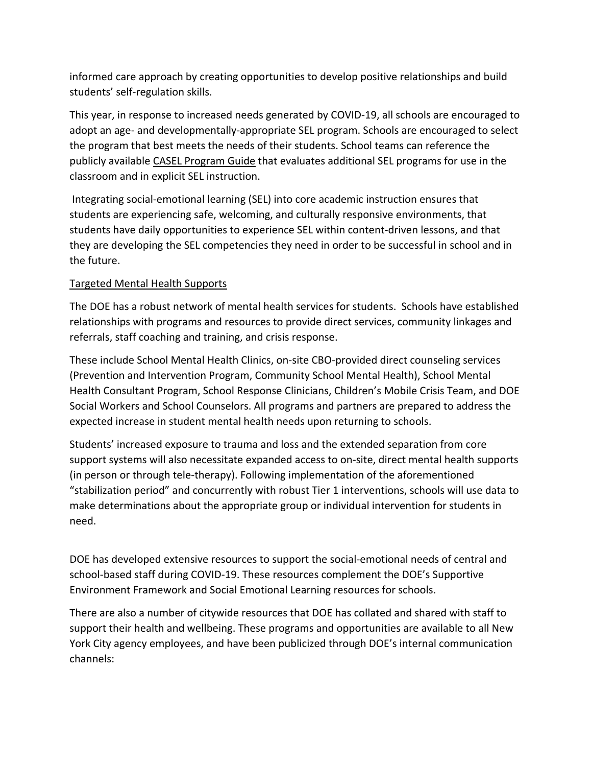informed care approach by creating opportunities to develop positive relationships and build students' self-regulation skills.

This year, in response to increased needs generated by COVID-19, all schools are encouraged to adopt an age- and developmentally-appropriate SEL program. Schools are encouraged to select the program that best meets the needs of their students. School teams can reference the publicly available CASEL Program Guide that evaluates additional SEL programs for use in the classroom and in explicit SEL instruction.

Integrating social-emotional learning (SEL) into core academic instruction ensures that students are experiencing safe, welcoming, and culturally responsive environments, that students have daily opportunities to experience SEL within content-driven lessons, and that they are developing the SEL competencies they need in order to be successful in school and in the future.

## Targeted Mental Health Supports

The DOE has a robust network of mental health services for students. Schools have established relationships with programs and resources to provide direct services, community linkages and referrals, staff coaching and training, and crisis response.

These include School Mental Health Clinics, on-site CBO-provided direct counseling services (Prevention and Intervention Program, Community School Mental Health), School Mental Health Consultant Program, School Response Clinicians, Children's Mobile Crisis Team, and DOE Social Workers and School Counselors. All programs and partners are prepared to address the expected increase in student mental health needs upon returning to schools.

Students' increased exposure to trauma and loss and the extended separation from core support systems will also necessitate expanded access to on-site, direct mental health supports (in person or through tele-therapy). Following implementation of the aforementioned "stabilization period" and concurrently with robust Tier 1 interventions, schools will use data to make determinations about the appropriate group or individual intervention for students in need.

DOE has developed extensive resources to support the social-emotional needs of central and school-based staff during COVID-19. These resources complement the DOE's Supportive Environment Framework and Social Emotional Learning resources for schools.

There are also a number of citywide resources that DOE has collated and shared with staff to support their health and wellbeing. These programs and opportunities are available to all New York City agency employees, and have been publicized through DOE's internal communication channels: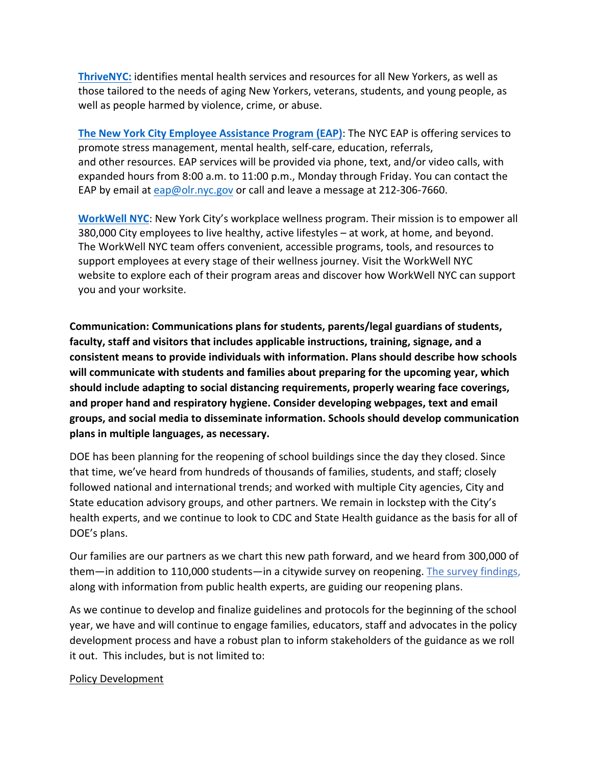**[ThriveNYC:](https://thrivenyc.cityofnewyork.us/mental_health_support_while_home)** identifies mental health services and resources for all New Yorkers, as well as those tailored to the needs of aging New Yorkers, veterans, students, and young people, as well as people harmed by violence, crime, or abuse.

**[The New York City Employee Assistance Program](https://www1.nyc.gov/site/olr/eap/eaphome.page) (EAP)**: The NYC EAP is offering services to promote stress management, mental health, self-care, education, referrals, and other resources. EAP services will be provided via phone, text, and/or video calls, with expanded hours from 8:00 a.m. to 11:00 p.m., Monday through Friday. You can contact the EAP by email at [eap@olr.nyc.gov](mailto:eap@olr.nyc.gov) or call and leave a message at 212-306-7660.

**[WorkWell NYC](https://www1.nyc.gov/site/olr/wellness/wellnesshome.page)**: New York City's workplace wellness program. Their mission is to empower all 380,000 City employees to live healthy, active lifestyles – at work, at home, and beyond. The WorkWell NYC team offers convenient, accessible programs, tools, and resources to support employees at every stage of their wellness journey. Visit the WorkWell NYC website to explore each of their program areas and discover how WorkWell NYC can support you and your worksite.

<span id="page-19-0"></span>**Communication: Communications plans for students, parents/legal guardians of students, faculty, staff and visitors that includes applicable instructions, training, signage, and a consistent means to provide individuals with information. Plans should describe how schools will communicate with students and families about preparing for the upcoming year, which should include adapting to social distancing requirements, properly wearing face coverings, and proper hand and respiratory hygiene. Consider developing webpages, text and email groups, and social media to disseminate information. Schools should develop communication plans in multiple languages, as necessary.**

DOE has been planning for the reopening of school buildings since the day they closed. Since that time, we've heard from hundreds of thousands of families, students, and staff; closely followed national and international trends; and worked with multiple City agencies, City and State education advisory groups, and other partners. We remain in lockstep with the City's health experts, and we continue to look to CDC and State Health guidance as the basis for all of DOE's plans.

Our families are our partners as we chart this new path forward, and we heard from 300,000 of them—in addition to 110,000 students—in a citywide survey on reopening. [The survey findings,](https://www.schools.nyc.gov/school-year-20-21/return-to-school-2020/our-planning-process) along with information from public health experts, are guiding our reopening plans.

As we continue to develop and finalize guidelines and protocols for the beginning of the school year, we have and will continue to engage families, educators, staff and advocates in the policy development process and have a robust plan to inform stakeholders of the guidance as we roll it out. This includes, but is not limited to:

#### Policy Development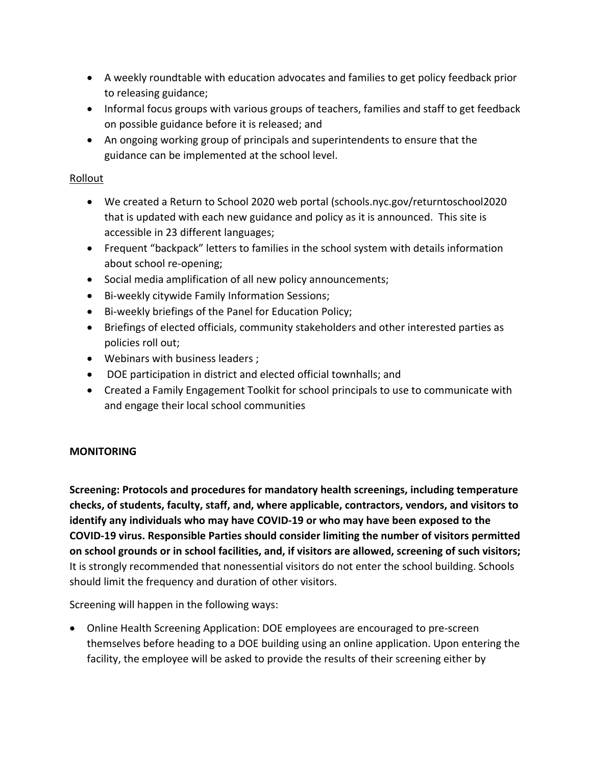- A weekly roundtable with education advocates and families to get policy feedback prior to releasing guidance;
- Informal focus groups with various groups of teachers, families and staff to get feedback on possible guidance before it is released; and
- An ongoing working group of principals and superintendents to ensure that the guidance can be implemented at the school level.

#### Rollout

- We created a Return to School 2020 web portal (schools.nyc.gov/returntoschool2020 that is updated with each new guidance and policy as it is announced. This site is accessible in 23 different languages;
- Frequent "backpack" letters to families in the school system with details information about school re-opening;
- Social media amplification of all new policy announcements;
- Bi-weekly citywide Family Information Sessions;
- Bi-weekly briefings of the Panel for Education Policy;
- Briefings of elected officials, community stakeholders and other interested parties as policies roll out;
- Webinars with business leaders ;
- DOE participation in district and elected official townhalls; and
- Created a Family Engagement Toolkit for school principals to use to communicate with and engage their local school communities

## <span id="page-20-0"></span>**MONITORING**

<span id="page-20-1"></span>**Screening: Protocols and procedures for mandatory health screenings, including temperature checks, of students, faculty, staff, and, where applicable, contractors, vendors, and visitors to identify any individuals who may have COVID-19 or who may have been exposed to the COVID-19 virus. Responsible Parties should consider limiting the number of visitors permitted on school grounds or in school facilities, and, if visitors are allowed, screening of such visitors;**  It is strongly recommended that nonessential visitors do not enter the school building. Schools should limit the frequency and duration of other visitors.

Screening will happen in the following ways:

• Online Health Screening Application: DOE employees are encouraged to pre-screen themselves before heading to a DOE building using an online application. Upon entering the facility, the employee will be asked to provide the results of their screening either by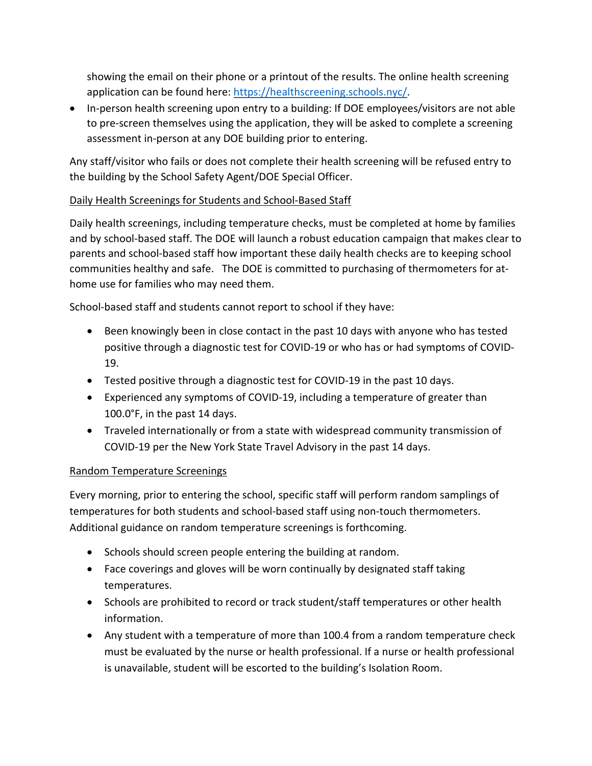showing the email on their phone or a printout of the results. The online health screening application can be found here: [https://healthscreening.schools.nyc/.](https://healthscreening.schools.nyc/)

• In-person health screening upon entry to a building: If DOE employees/visitors are not able to pre-screen themselves using the application, they will be asked to complete a screening assessment in-person at any DOE building prior to entering.

Any staff/visitor who fails or does not complete their health screening will be refused entry to the building by the School Safety Agent/DOE Special Officer.

## Daily Health Screenings for Students and School-Based Staff

Daily health screenings, including temperature checks, must be completed at home by families and by school-based staff. The DOE will launch a robust education campaign that makes clear to parents and school-based staff how important these daily health checks are to keeping school communities healthy and safe. The DOE is committed to purchasing of thermometers for athome use for families who may need them.

School-based staff and students cannot report to school if they have:

- Been knowingly been in close contact in the past 10 days with anyone who has tested positive through a diagnostic test for COVID-19 or who has or had symptoms of COVID-19.
- Tested positive through a diagnostic test for COVID-19 in the past 10 days.
- Experienced any symptoms of COVID-19, including a temperature of greater than 100.0°F, in the past 14 days.
- Traveled internationally or from a state with widespread community transmission of COVID-19 per the New York State Travel Advisory in the past 14 days.

#### Random Temperature Screenings

Every morning, prior to entering the school, specific staff will perform random samplings of temperatures for both students and school-based staff using non-touch thermometers. Additional guidance on random temperature screenings is forthcoming.

- Schools should screen people entering the building at random.
- Face coverings and gloves will be worn continually by designated staff taking temperatures.
- Schools are prohibited to record or track student/staff temperatures or other health information.
- Any student with a temperature of more than 100.4 from a random temperature check must be evaluated by the nurse or health professional. If a nurse or health professional is unavailable, student will be escorted to the building's Isolation Room.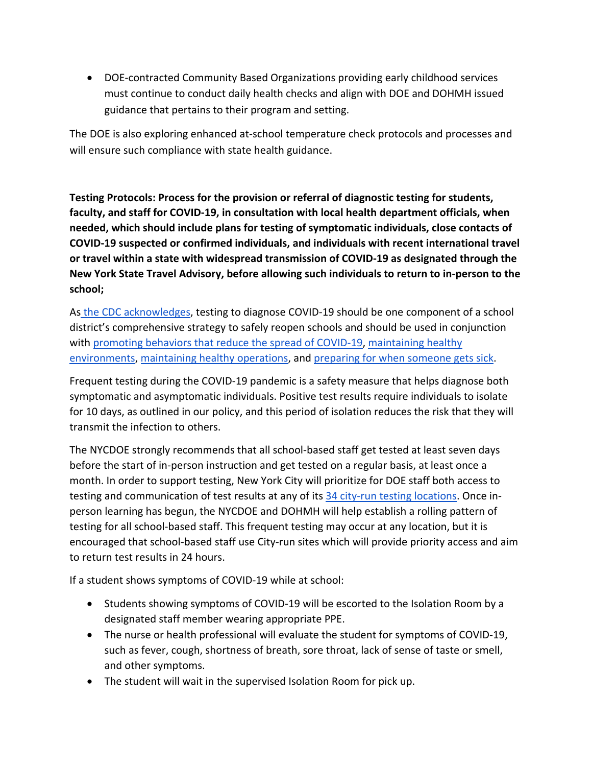• DOE-contracted Community Based Organizations providing early childhood services must continue to conduct daily health checks and align with DOE and DOHMH issued guidance that pertains to their program and setting.

The DOE is also exploring enhanced at-school temperature check protocols and processes and will ensure such compliance with state health guidance.

<span id="page-22-0"></span>**Testing Protocols: Process for the provision or referral of diagnostic testing for students, faculty, and staff for COVID-19, in consultation with local health department officials, when needed, which should include plans for testing of symptomatic individuals, close contacts of COVID-19 suspected or confirmed individuals, and individuals with recent international travel or travel within a state with widespread transmission of COVID-19 as designated through the New York State Travel Advisory, before allowing such individuals to return to in-person to the school;** 

As [the CDC acknowledges,](https://www.cdc.gov/coronavirus/2019-ncov/community/schools-childcare/k-12-testing.html) testing to diagnose COVID-19 should be one component of a school district's comprehensive strategy to safely reopen schools and should be used in conjunction with [promoting behaviors that reduce the spread of COVID-19,](https://www.cdc.gov/coronavirus/2019-ncov/community/colleges-universities/considerations.html#behaviors) maintaining healthy [environments,](https://www.cdc.gov/coronavirus/2019-ncov/community/colleges-universities/considerations.html#environments) [maintaining healthy operations,](https://www.cdc.gov/coronavirus/2019-ncov/community/colleges-universities/considerations.html#operations) and [preparing for when someone gets sick.](https://www.cdc.gov/coronavirus/2019-ncov/community/colleges-universities/considerations.html#preparing)

Frequent testing during the COVID-19 pandemic is a safety measure that helps diagnose both symptomatic and asymptomatic individuals. Positive test results require individuals to isolate for 10 days, as outlined in our policy, and this period of isolation reduces the risk that they will transmit the infection to others.

The NYCDOE strongly recommends that all school-based staff get tested at least seven days before the start of in-person instruction and get tested on a regular basis, at least once a month. In order to support testing, New York City will prioritize for DOE staff both access to testing and communication of test results at any of its [34 city-run testing locations.](https://nam01.safelinks.protection.outlook.com/?url=https%3A%2F%2Fwww1.nyc.gov%2Fsite%2Fcoronavirus%2Fget-tested%2Fcovid-19-testing.page&data=02%7C01%7CFPuelloPerdomo%40schools.nyc.gov%7C6e6dbb0fb93c457a374008d833ec6c48%7C18492cb7ef45456185710c42e5f7ac07%7C0%7C0%7C637316437804494362&sdata=6a8OAxaSjjR53MfhlblFPFYJzj4svjEELFxipStb7V4%3D&reserved=0) Once inperson learning has begun, the NYCDOE and DOHMH will help establish a rolling pattern of testing for all school-based staff. This frequent testing may occur at any location, but it is encouraged that school-based staff use City-run sites which will provide priority access and aim to return test results in 24 hours.

If a student shows symptoms of COVID-19 while at school:

- Students showing symptoms of COVID-19 will be escorted to the Isolation Room by a designated staff member wearing appropriate PPE.
- The nurse or health professional will evaluate the student for symptoms of COVID-19, such as fever, cough, shortness of breath, sore throat, lack of sense of taste or smell, and other symptoms.
- The student will wait in the supervised Isolation Room for pick up.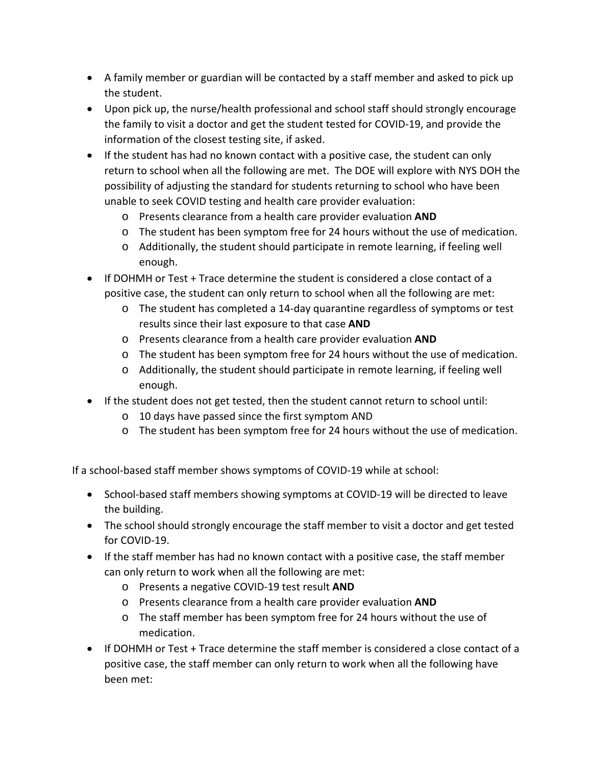- A family member or guardian will be contacted by a staff member and asked to pick up the student.
- Upon pick up, the nurse/health professional and school staff should strongly encourage the family to visit a doctor and get the student tested for COVID-19, and provide the information of the closest testing site, if asked.
- If the student has had no known contact with a positive case, the student can only return to school when all the following are met. The DOE will explore with NYS DOH the possibility of adjusting the standard for students returning to school who have been unable to seek COVID testing and health care provider evaluation:
	- o Presents clearance from a health care provider evaluation **AND**
	- o The student has been symptom free for 24 hours without the use of medication.
	- o Additionally, the student should participate in remote learning, if feeling well enough.
- If DOHMH or Test + Trace determine the student is considered a close contact of a positive case, the student can only return to school when all the following are met:
	- o The student has completed a 14-day quarantine regardless of symptoms or test results since their last exposure to that case **AND**
	- o Presents clearance from a health care provider evaluation **AND**
	- o The student has been symptom free for 24 hours without the use of medication.
	- o Additionally, the student should participate in remote learning, if feeling well enough.
- If the student does not get tested, then the student cannot return to school until:
	- o 10 days have passed since the first symptom AND
	- o The student has been symptom free for 24 hours without the use of medication.

If a school-based staff member shows symptoms of COVID-19 while at school:

- School-based staff members showing symptoms at COVID-19 will be directed to leave the building.
- The school should strongly encourage the staff member to visit a doctor and get tested for COVID-19.
- If the staff member has had no known contact with a positive case, the staff member can only return to work when all the following are met:
	- o Presents a negative COVID-19 test result **AND**
	- o Presents clearance from a health care provider evaluation **AND**
	- o The staff member has been symptom free for 24 hours without the use of medication.
- If DOHMH or Test + Trace determine the staff member is considered a close contact of a positive case, the staff member can only return to work when all the following have been met: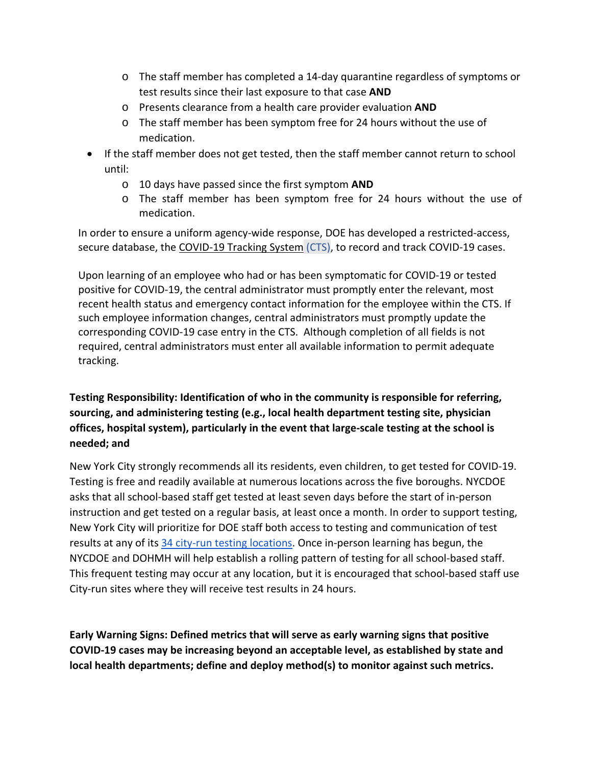- o The staff member has completed a 14-day quarantine regardless of symptoms or test results since their last exposure to that case **AND**
- o Presents clearance from a health care provider evaluation **AND**
- o The staff member has been symptom free for 24 hours without the use of medication.
- If the staff member does not get tested, then the staff member cannot return to school until:
	- o 10 days have passed since the first symptom **AND**
	- o The staff member has been symptom free for 24 hours without the use of medication.

In order to ensure a uniform agency-wide response, DOE has developed a restricted-access, secure database, the [COVID-19 Tracking System](https://www.nycenet.edu/covidtracker) (CTS), to record and track COVID-19 cases.

Upon learning of an employee who had or has been symptomatic for COVID-19 or tested positive for COVID-19, the central administrator must promptly enter the relevant, most recent health status and emergency contact information for the employee within the CTS. If such employee information changes, central administrators must promptly update the corresponding COVID-19 case entry in the CTS.  Although completion of all fields is not required, central administrators must enter all available information to permit adequate tracking.

## <span id="page-24-0"></span>**Testing Responsibility: Identification of who in the community is responsible for referring, sourcing, and administering testing (e.g., local health department testing site, physician offices, hospital system), particularly in the event that large-scale testing at the school is needed; and**

New York City strongly recommends all its residents, even children, to get tested for COVID-19. Testing is free and readily available at numerous locations across the five boroughs. NYCDOE asks that all school-based staff get tested at least seven days before the start of in-person instruction and get tested on a regular basis, at least once a month. In order to support testing, New York City will prioritize for DOE staff both access to testing and communication of test results at any of its [34 city-run testing locations.](https://nam01.safelinks.protection.outlook.com/?url=https%3A%2F%2Fwww1.nyc.gov%2Fsite%2Fcoronavirus%2Fget-tested%2Fcovid-19-testing.page&data=02%7C01%7CFPuelloPerdomo%40schools.nyc.gov%7C6e6dbb0fb93c457a374008d833ec6c48%7C18492cb7ef45456185710c42e5f7ac07%7C0%7C0%7C637316437804494362&sdata=6a8OAxaSjjR53MfhlblFPFYJzj4svjEELFxipStb7V4%3D&reserved=0) Once in-person learning has begun, the NYCDOE and DOHMH will help establish a rolling pattern of testing for all school-based staff. This frequent testing may occur at any location, but it is encouraged that school-based staff use City-run sites where they will receive test results in 24 hours.

<span id="page-24-1"></span>**Early Warning Signs: Defined metrics that will serve as early warning signs that positive COVID-19 cases may be increasing beyond an acceptable level, as established by state and local health departments; define and deploy method(s) to monitor against such metrics.**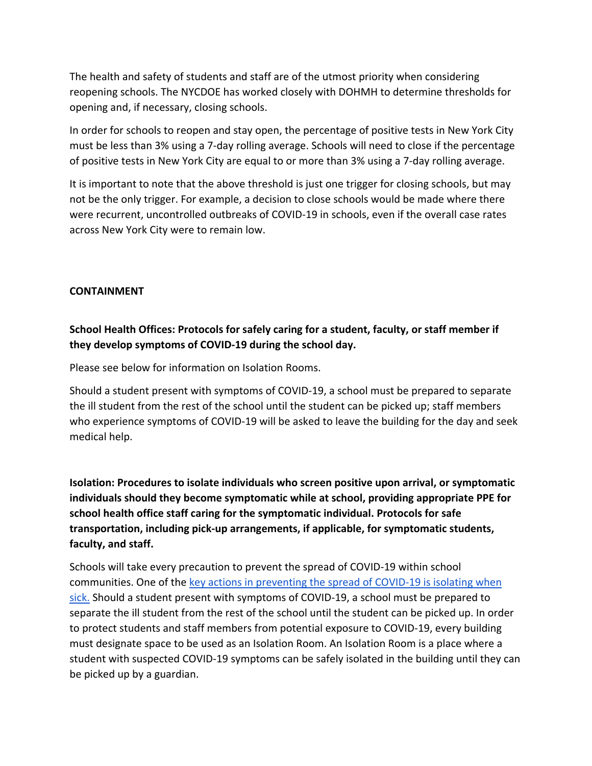The health and safety of students and staff are of the utmost priority when considering reopening schools. The NYCDOE has worked closely with DOHMH to determine thresholds for opening and, if necessary, closing schools.

In order for schools to reopen and stay open, the percentage of positive tests in New York City must be less than 3% using a 7-day rolling average. Schools will need to close if the percentage of positive tests in New York City are equal to or more than 3% using a 7-day rolling average.

It is important to note that the above threshold is just one trigger for closing schools, but may not be the only trigger. For example, a decision to close schools would be made where there were recurrent, uncontrolled outbreaks of COVID-19 in schools, even if the overall case rates across New York City were to remain low.

#### <span id="page-25-0"></span>**CONTAINMENT**

## <span id="page-25-1"></span>**School Health Offices: Protocols for safely caring for a student, faculty, or staff member if they develop symptoms of COVID-19 during the school day.**

Please see below for information on Isolation Rooms.

Should a student present with symptoms of COVID-19, a school must be prepared to separate the ill student from the rest of the school until the student can be picked up; staff members who experience symptoms of COVID-19 will be asked to leave the building for the day and seek medical help.

<span id="page-25-2"></span>**Isolation: Procedures to isolate individuals who screen positive upon arrival, or symptomatic individuals should they become symptomatic while at school, providing appropriate PPE for school health office staff caring for the symptomatic individual. Protocols for safe transportation, including pick-up arrangements, if applicable, for symptomatic students, faculty, and staff.**

Schools will take every precaution to prevent the spread of COVID-19 within school communities. One of the [key actions in preventing the spread of COVID-19 is isolating when](https://www.cdc.gov/coronavirus/2019-ncov/if-you-are-sick/isolation.html)  [sick.](https://www.cdc.gov/coronavirus/2019-ncov/if-you-are-sick/isolation.html) Should a student present with symptoms of COVID-19, a school must be prepared to separate the ill student from the rest of the school until the student can be picked up. In order to protect students and staff members from potential exposure to COVID-19, every building must designate space to be used as an Isolation Room. An Isolation Room is a place where a student with suspected COVID-19 symptoms can be safely isolated in the building until they can be picked up by a guardian.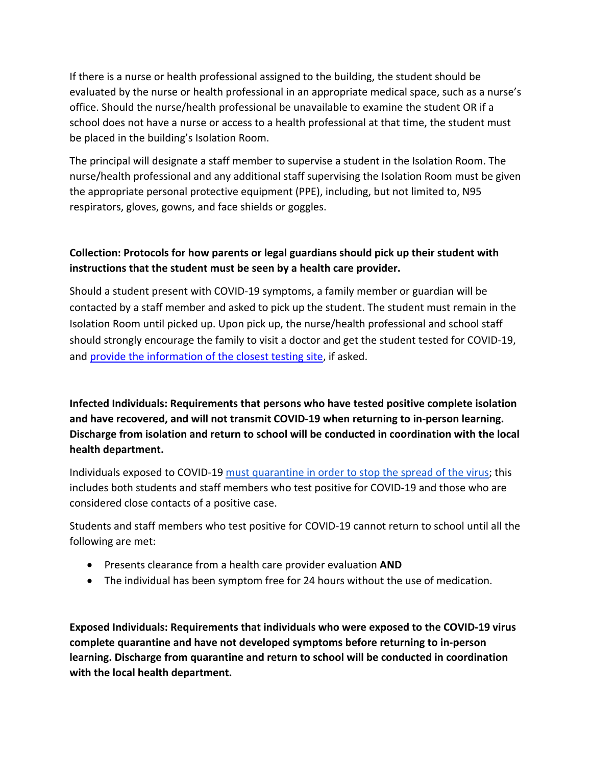If there is a nurse or health professional assigned to the building, the student should be evaluated by the nurse or health professional in an appropriate medical space, such as a nurse's office. Should the nurse/health professional be unavailable to examine the student OR if a school does not have a nurse or access to a health professional at that time, the student must be placed in the building's Isolation Room.

The principal will designate a staff member to supervise a student in the Isolation Room. The nurse/health professional and any additional staff supervising the Isolation Room must be given the appropriate personal protective equipment (PPE), including, but not limited to, N95 respirators, gloves, gowns, and face shields or goggles.

## <span id="page-26-0"></span>**Collection: Protocols for how parents or legal guardians should pick up their student with instructions that the student must be seen by a health care provider.**

Should a student present with COVID-19 symptoms, a family member or guardian will be contacted by a staff member and asked to pick up the student. The student must remain in the Isolation Room until picked up. Upon pick up, the nurse/health professional and school staff should strongly encourage the family to visit a doctor and get the student tested for COVID-19, and provide the information of the closest testing site, if asked.

<span id="page-26-1"></span>**Infected Individuals: Requirements that persons who have tested positive complete isolation and have recovered, and will not transmit COVID-19 when returning to in-person learning. Discharge from isolation and return to school will be conducted in coordination with the local health department.** 

Individuals exposed to COVID-19 must quarantine in order to stop the spread of the virus; this includes both students and staff members who test positive for COVID-19 and those who are considered close contacts of a positive case.

Students and staff members who test positive for COVID-19 cannot return to school until all the following are met:

- Presents clearance from a health care provider evaluation **AND**
- The individual has been symptom free for 24 hours without the use of medication.

<span id="page-26-2"></span>**Exposed Individuals: Requirements that individuals who were exposed to the COVID-19 virus complete quarantine and have not developed symptoms before returning to in-person learning. Discharge from quarantine and return to school will be conducted in coordination with the local health department.**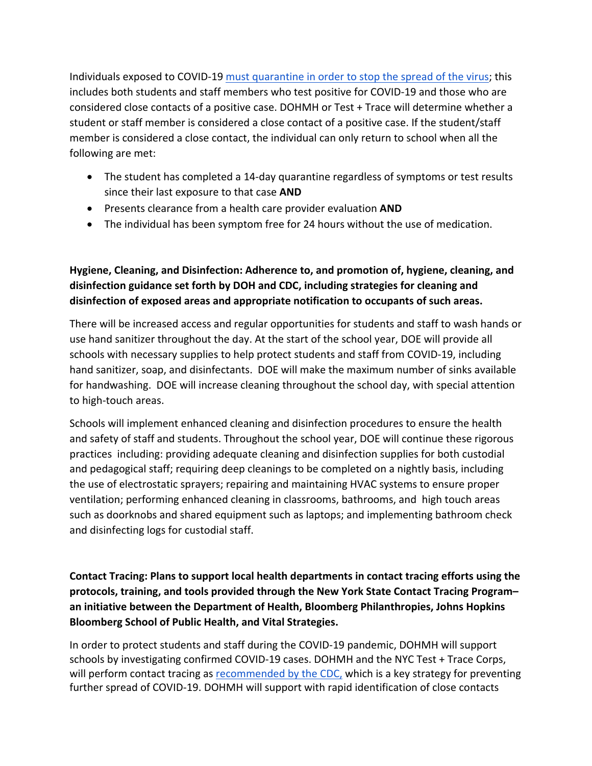Individuals exposed to COVID-19 [must quarantine in order to stop the spread of the virus;](https://www.cdc.gov/coronavirus/2019-ncov/if-you-are-sick/quarantine.html) this includes both students and staff members who test positive for COVID-19 and those who are considered close contacts of a positive case. DOHMH or Test + Trace will determine whether a student or staff member is considered a close contact of a positive case. If the student/staff member is considered a close contact, the individual can only return to school when all the following are met:

- The student has completed a 14-day quarantine regardless of symptoms or test results since their last exposure to that case **AND**
- Presents clearance from a health care provider evaluation **AND**
- The individual has been symptom free for 24 hours without the use of medication.

## <span id="page-27-0"></span>**Hygiene, Cleaning, and Disinfection: Adherence to, and promotion of, hygiene, cleaning, and disinfection guidance set forth by DOH and CDC, including strategies for cleaning and disinfection of exposed areas and appropriate notification to occupants of such areas.**

There will be increased access and regular opportunities for students and staff to wash hands or use hand sanitizer throughout the day. At the start of the school year, DOE will provide all schools with necessary supplies to help protect students and staff from COVID-19, including hand sanitizer, soap, and disinfectants. DOE will make the maximum number of sinks available for handwashing. DOE will increase cleaning throughout the school day, with special attention to high-touch areas.

Schools will implement enhanced cleaning and disinfection procedures to ensure the health and safety of staff and students. Throughout the school year, DOE will continue these rigorous practices including: providing adequate cleaning and disinfection supplies for both custodial and pedagogical staff; requiring deep cleanings to be completed on a nightly basis, including the use of electrostatic sprayers; repairing and maintaining HVAC systems to ensure proper ventilation; performing enhanced cleaning in classrooms, bathrooms, and high touch areas such as doorknobs and shared equipment such as laptops; and implementing bathroom check and disinfecting logs for custodial staff.

## <span id="page-27-1"></span>**Contact Tracing: Plans to support local health departments in contact tracing efforts using the protocols, training, and tools provided through the New York State Contact Tracing Program– an initiative between the Department of Health, Bloomberg Philanthropies, Johns Hopkins Bloomberg School of Public Health, and Vital Strategies.**

In order to protect students and staff during the COVID-19 pandemic, DOHMH will support schools by investigating confirmed COVID-19 cases. DOHMH and the NYC Test + Trace Corps, will perform contact tracing as [recommended by the CDC,](https://www.cdc.gov/coronavirus/2019-ncov/downloads/php/CDC-Activities-Initiatives-for-COVID-19-Response.pdf) which is a key strategy for preventing further spread of COVID-19. DOHMH will support with rapid identification of close contacts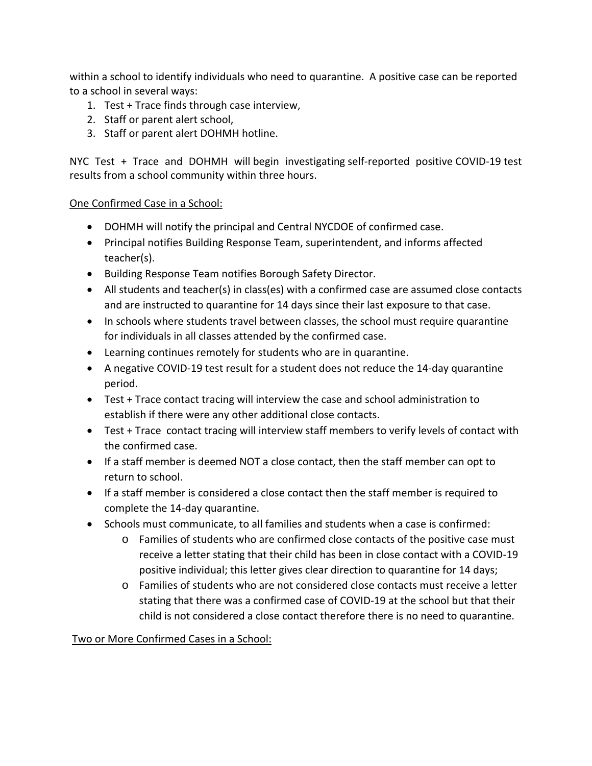within a school to identify individuals who need to quarantine. A positive case can be reported to a school in several ways:

- 1. Test + Trace finds through case interview,
- 2. Staff or parent alert school,
- 3. Staff or parent alert DOHMH hotline.

NYC Test + Trace and DOHMH will begin investigating self-reported positive COVID-19 test results from a school community within three hours.

## One Confirmed Case in a School:

- DOHMH will notify the principal and Central NYCDOE of confirmed case.
- Principal notifies Building Response Team, superintendent, and informs affected teacher(s).
- Building Response Team notifies Borough Safety Director.
- All students and teacher(s) in class(es) with a confirmed case are assumed close contacts and are instructed to quarantine for 14 days since their last exposure to that case.
- In schools where students travel between classes, the school must require quarantine for individuals in all classes attended by the confirmed case.
- Learning continues remotely for students who are in quarantine.
- A negative COVID-19 test result for a student does not reduce the 14-day quarantine period.
- Test + Trace contact tracing will interview the case and school administration to establish if there were any other additional close contacts.
- Test + Trace contact tracing will interview staff members to verify levels of contact with the confirmed case.
- If a staff member is deemed NOT a close contact, then the staff member can opt to return to school.
- If a staff member is considered a close contact then the staff member is required to complete the 14-day quarantine.
- Schools must communicate, to all families and students when a case is confirmed:
	- o Families of students who are confirmed close contacts of the positive case must receive a letter stating that their child has been in close contact with a COVID-19 positive individual; this letter gives clear direction to quarantine for 14 days;
	- o Families of students who are not considered close contacts must receive a letter stating that there was a confirmed case of COVID-19 at the school but that their child is not considered a close contact therefore there is no need to quarantine.

#### Two or More Confirmed Cases in a School: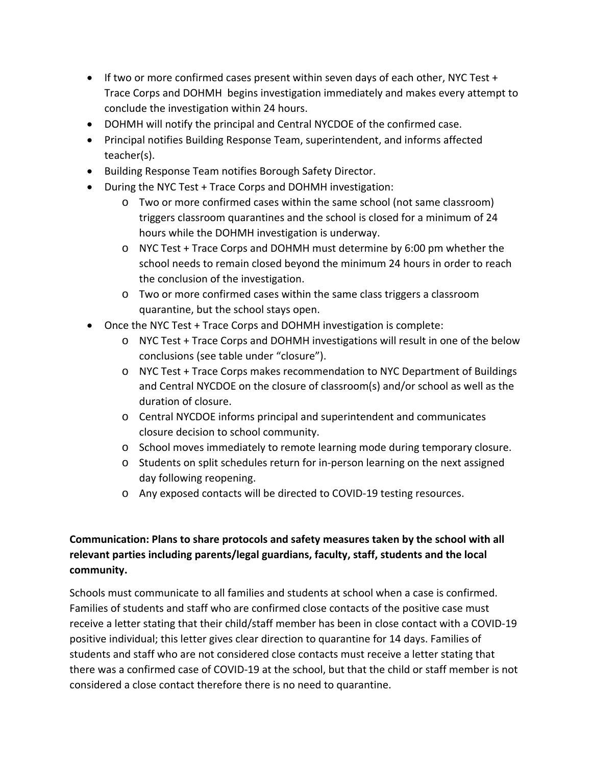- If two or more confirmed cases present within seven days of each other, NYC Test + Trace Corps and DOHMH begins investigation immediately and makes every attempt to conclude the investigation within 24 hours.
- DOHMH will notify the principal and Central NYCDOE of the confirmed case.
- Principal notifies Building Response Team, superintendent, and informs affected teacher(s).
- Building Response Team notifies Borough Safety Director.
- During the NYC Test + Trace Corps and DOHMH investigation:
	- o Two or more confirmed cases within the same school (not same classroom) triggers classroom quarantines and the school is closed for a minimum of 24 hours while the DOHMH investigation is underway.
	- o NYC Test + Trace Corps and DOHMH must determine by 6:00 pm whether the school needs to remain closed beyond the minimum 24 hours in order to reach the conclusion of the investigation.
	- o Two or more confirmed cases within the same class triggers a classroom quarantine, but the school stays open.
- Once the NYC Test + Trace Corps and DOHMH investigation is complete:
	- o NYC Test + Trace Corps and DOHMH investigations will result in one of the below conclusions (see table under "closure").
	- o NYC Test + Trace Corps makes recommendation to NYC Department of Buildings and Central NYCDOE on the closure of classroom(s) and/or school as well as the duration of closure.
	- o Central NYCDOE informs principal and superintendent and communicates closure decision to school community.
	- o School moves immediately to remote learning mode during temporary closure.
	- o Students on split schedules return for in-person learning on the next assigned day following reopening.
	- o Any exposed contacts will be directed to COVID-19 testing resources.

## <span id="page-29-0"></span>**Communication: Plans to share protocols and safety measures taken by the school with all relevant parties including parents/legal guardians, faculty, staff, students and the local community.**

Schools must communicate to all families and students at school when a case is confirmed. Families of students and staff who are confirmed close contacts of the positive case must receive a letter stating that their child/staff member has been in close contact with a COVID-19 positive individual; this letter gives clear direction to quarantine for 14 days. Families of students and staff who are not considered close contacts must receive a letter stating that there was a confirmed case of COVID-19 at the school, but that the child or staff member is not considered a close contact therefore there is no need to quarantine.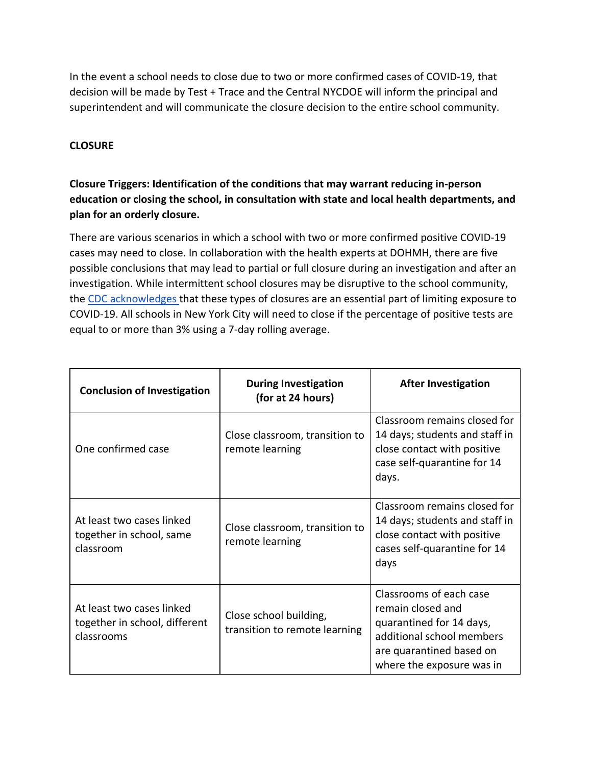In the event a school needs to close due to two or more confirmed cases of COVID-19, that decision will be made by Test + Trace and the Central NYCDOE will inform the principal and superintendent and will communicate the closure decision to the entire school community.

#### <span id="page-30-0"></span>**CLOSURE**

## <span id="page-30-1"></span>**Closure Triggers: Identification of the conditions that may warrant reducing in-person education or closing the school, in consultation with state and local health departments, and plan for an orderly closure.**

There are various scenarios in which a school with two or more confirmed positive COVID-19 cases may need to close. In collaboration with the health experts at DOHMH, there are five possible conclusions that may lead to partial or full closure during an investigation and after an investigation. While intermittent school closures may be disruptive to the school community, the [CDC acknowledges t](https://www.cdc.gov/coronavirus/2019-ncov/community/schools-childcare/schools.html)hat these types of closures are an essential part of limiting exposure to COVID-19. All schools in New York City will need to close if the percentage of positive tests are equal to or more than 3% using a 7-day rolling average.

| <b>Conclusion of Investigation</b>                                       | <b>During Investigation</b><br>(for at 24 hours)        | <b>After Investigation</b>                                                                                                                                     |
|--------------------------------------------------------------------------|---------------------------------------------------------|----------------------------------------------------------------------------------------------------------------------------------------------------------------|
| One confirmed case                                                       | Close classroom, transition to<br>remote learning       | Classroom remains closed for<br>14 days; students and staff in<br>close contact with positive<br>case self-quarantine for 14<br>days.                          |
| At least two cases linked<br>together in school, same<br>classroom       | Close classroom, transition to<br>remote learning       | Classroom remains closed for<br>14 days; students and staff in<br>close contact with positive<br>cases self-quarantine for 14<br>days                          |
| At least two cases linked<br>together in school, different<br>classrooms | Close school building,<br>transition to remote learning | Classrooms of each case<br>remain closed and<br>quarantined for 14 days,<br>additional school members<br>are quarantined based on<br>where the exposure was in |